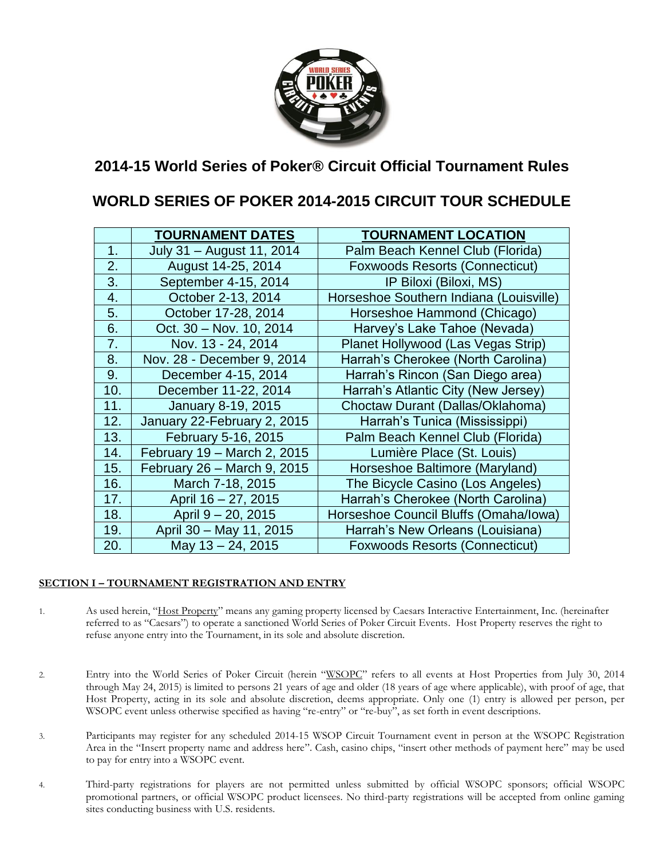

# **2014-15 World Series of Poker® Circuit Official Tournament Rules**

# **WORLD SERIES OF POKER 2014-2015 CIRCUIT TOUR SCHEDULE**

|     | <b>TOURNAMENT DATES</b>     | <b>TOURNAMENT LOCATION</b>              |
|-----|-----------------------------|-----------------------------------------|
| 1.  | July 31 - August 11, 2014   | Palm Beach Kennel Club (Florida)        |
| 2.  | August 14-25, 2014          | <b>Foxwoods Resorts (Connecticut)</b>   |
| 3.  | September 4-15, 2014        | IP Biloxi (Biloxi, MS)                  |
| 4.  | October 2-13, 2014          | Horseshoe Southern Indiana (Louisville) |
| 5.  | October 17-28, 2014         | Horseshoe Hammond (Chicago)             |
| 6.  | Oct. 30 - Nov. 10, 2014     | Harvey's Lake Tahoe (Nevada)            |
| 7.  | Nov. 13 - 24, 2014          | Planet Hollywood (Las Vegas Strip)      |
| 8.  | Nov. 28 - December 9, 2014  | Harrah's Cherokee (North Carolina)      |
| 9.  | December 4-15, 2014         | Harrah's Rincon (San Diego area)        |
| 10. | December 11-22, 2014        | Harrah's Atlantic City (New Jersey)     |
| 11. | January 8-19, 2015          | Choctaw Durant (Dallas/Oklahoma)        |
| 12. | January 22-February 2, 2015 | Harrah's Tunica (Mississippi)           |
| 13. | February 5-16, 2015         | Palm Beach Kennel Club (Florida)        |
| 14. | February 19 - March 2, 2015 | Lumière Place (St. Louis)               |
| 15. | February 26 - March 9, 2015 | Horseshoe Baltimore (Maryland)          |
| 16. | March 7-18, 2015            | The Bicycle Casino (Los Angeles)        |
| 17. | April 16 - 27, 2015         | Harrah's Cherokee (North Carolina)      |
| 18. | April 9 - 20, 2015          | Horseshoe Council Bluffs (Omaha/Iowa)   |
| 19. | April 30 - May 11, 2015     | Harrah's New Orleans (Louisiana)        |
| 20. | May 13 - 24, 2015           | <b>Foxwoods Resorts (Connecticut)</b>   |

### **SECTION I – TOURNAMENT REGISTRATION AND ENTRY**

- 1. As used herein, "Host Property" means any gaming property licensed by Caesars Interactive Entertainment, Inc. (hereinafter referred to as "Caesars") to operate a sanctioned World Series of Poker Circuit Events. Host Property reserves the right to refuse anyone entry into the Tournament, in its sole and absolute discretion.
- 2. Entry into the World Series of Poker Circuit (herein "WSOPC" refers to all events at Host Properties from July 30, 2014 through May 24, 2015) is limited to persons 21 years of age and older (18 years of age where applicable), with proof of age, that Host Property, acting in its sole and absolute discretion, deems appropriate. Only one (1) entry is allowed per person, per WSOPC event unless otherwise specified as having "re-entry" or "re-buy", as set forth in event descriptions.
- 3. Participants may register for any scheduled 2014-15 WSOP Circuit Tournament event in person at the WSOPC Registration Area in the "Insert property name and address here". Cash, casino chips, "insert other methods of payment here" may be used to pay for entry into a WSOPC event.
- 4. Third-party registrations for players are not permitted unless submitted by official WSOPC sponsors; official WSOPC promotional partners, or official WSOPC product licensees. No third-party registrations will be accepted from online gaming sites conducting business with U.S. residents.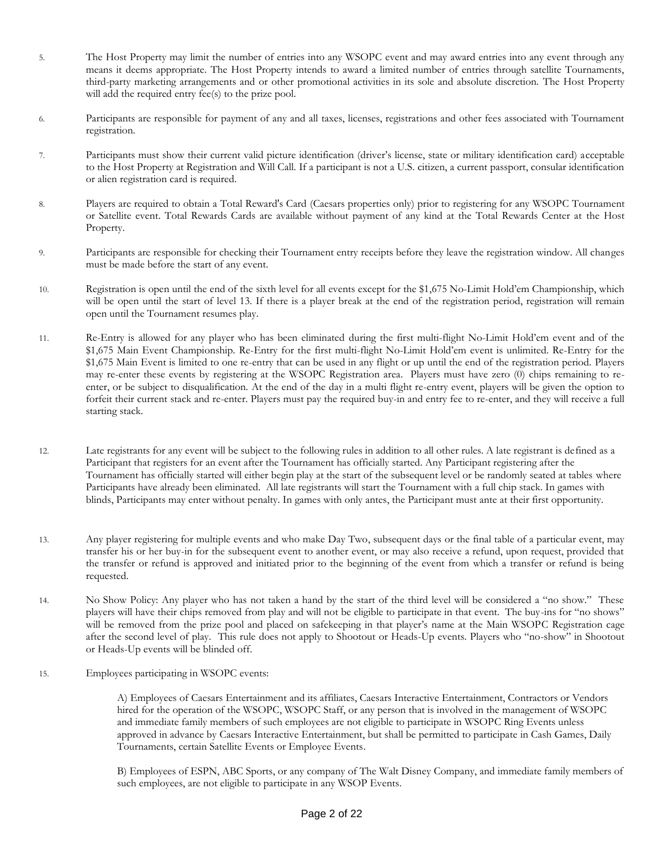- 5. The Host Property may limit the number of entries into any WSOPC event and may award entries into any event through any means it deems appropriate. The Host Property intends to award a limited number of entries through satellite Tournaments, third-party marketing arrangements and or other promotional activities in its sole and absolute discretion. The Host Property will add the required entry fee(s) to the prize pool.
- 6. Participants are responsible for payment of any and all taxes, licenses, registrations and other fees associated with Tournament registration.
- 7. Participants must show their current valid picture identification (driver's license, state or military identification card) acceptable to the Host Property at Registration and Will Call. If a participant is not a U.S. citizen, a current passport, consular identification or alien registration card is required.
- 8. Players are required to obtain a Total Reward's Card (Caesars properties only) prior to registering for any WSOPC Tournament or Satellite event. Total Rewards Cards are available without payment of any kind at the Total Rewards Center at the Host Property.
- 9. Participants are responsible for checking their Tournament entry receipts before they leave the registration window. All changes must be made before the start of any event.
- 10. Registration is open until the end of the sixth level for all events except for the \$1,675 No-Limit Hold'em Championship, which will be open until the start of level 13. If there is a player break at the end of the registration period, registration will remain open until the Tournament resumes play.
- 11. Re-Entry is allowed for any player who has been eliminated during the first multi-flight No-Limit Hold'em event and of the \$1,675 Main Event Championship. Re-Entry for the first multi-flight No-Limit Hold'em event is unlimited. Re-Entry for the \$1,675 Main Event is limited to one re-entry that can be used in any flight or up until the end of the registration period. Players may re-enter these events by registering at the WSOPC Registration area. Players must have zero (0) chips remaining to reenter, or be subject to disqualification. At the end of the day in a multi flight re-entry event, players will be given the option to forfeit their current stack and re-enter. Players must pay the required buy-in and entry fee to re-enter, and they will receive a full starting stack.
- 12. Late registrants for any event will be subject to the following rules in addition to all other rules. A late registrant is defined as a Participant that registers for an event after the Tournament has officially started. Any Participant registering after the Tournament has officially started will either begin play at the start of the subsequent level or be randomly seated at tables where Participants have already been eliminated. All late registrants will start the Tournament with a full chip stack. In games with blinds, Participants may enter without penalty. In games with only antes, the Participant must ante at their first opportunity.
- 13. Any player registering for multiple events and who make Day Two, subsequent days or the final table of a particular event, may transfer his or her buy-in for the subsequent event to another event, or may also receive a refund, upon request, provided that the transfer or refund is approved and initiated prior to the beginning of the event from which a transfer or refund is being requested.
- 14. No Show Policy: Any player who has not taken a hand by the start of the third level will be considered a "no show." These players will have their chips removed from play and will not be eligible to participate in that event. The buy-ins for "no shows" will be removed from the prize pool and placed on safekeeping in that player's name at the Main WSOPC Registration cage after the second level of play. This rule does not apply to Shootout or Heads-Up events. Players who "no-show" in Shootout or Heads-Up events will be blinded off.
- 15. Employees participating in WSOPC events:

A) Employees of Caesars Entertainment and its affiliates, Caesars Interactive Entertainment, Contractors or Vendors hired for the operation of the WSOPC, WSOPC Staff, or any person that is involved in the management of WSOPC and immediate family members of such employees are not eligible to participate in WSOPC Ring Events unless approved in advance by Caesars Interactive Entertainment, but shall be permitted to participate in Cash Games, Daily Tournaments, certain Satellite Events or Employee Events.

B) Employees of ESPN, ABC Sports, or any company of The Walt Disney Company, and immediate family members of such employees, are not eligible to participate in any WSOP Events.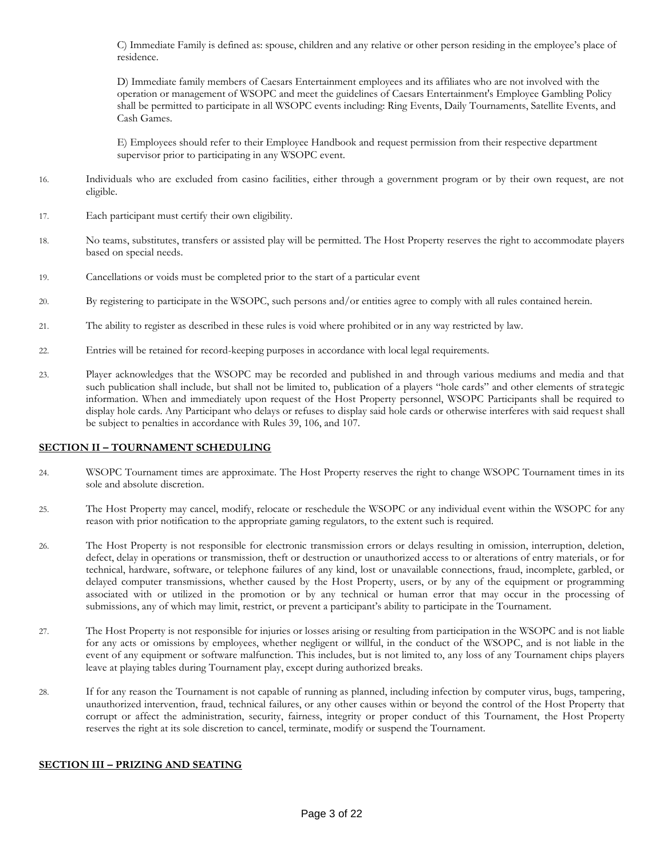C) Immediate Family is defined as: spouse, children and any relative or other person residing in the employee's place of residence.

D) Immediate family members of Caesars Entertainment employees and its affiliates who are not involved with the operation or management of WSOPC and meet the guidelines of Caesars Entertainment's Employee Gambling Policy shall be permitted to participate in all WSOPC events including: Ring Events, Daily Tournaments, Satellite Events, and Cash Games.

E) Employees should refer to their Employee Handbook and request permission from their respective department supervisor prior to participating in any WSOPC event.

- 16. Individuals who are excluded from casino facilities, either through a government program or by their own request, are not eligible.
- 17. Each participant must certify their own eligibility.
- 18. No teams, substitutes, transfers or assisted play will be permitted. The Host Property reserves the right to accommodate players based on special needs.
- 19. Cancellations or voids must be completed prior to the start of a particular event
- 20. By registering to participate in the WSOPC, such persons and/or entities agree to comply with all rules contained herein.
- 21. The ability to register as described in these rules is void where prohibited or in any way restricted by law.
- 22. Entries will be retained for record-keeping purposes in accordance with local legal requirements.
- 23. Player acknowledges that the WSOPC may be recorded and published in and through various mediums and media and that such publication shall include, but shall not be limited to, publication of a players "hole cards" and other elements of strategic information. When and immediately upon request of the Host Property personnel, WSOPC Participants shall be required to display hole cards. Any Participant who delays or refuses to display said hole cards or otherwise interferes with said request shall be subject to penalties in accordance with Rules 39, 106, and 107.

#### **SECTION II – TOURNAMENT SCHEDULING**

- 24. WSOPC Tournament times are approximate. The Host Property reserves the right to change WSOPC Tournament times in its sole and absolute discretion.
- 25. The Host Property may cancel, modify, relocate or reschedule the WSOPC or any individual event within the WSOPC for any reason with prior notification to the appropriate gaming regulators, to the extent such is required.
- 26. The Host Property is not responsible for electronic transmission errors or delays resulting in omission, interruption, deletion, defect, delay in operations or transmission, theft or destruction or unauthorized access to or alterations of entry materials, or for technical, hardware, software, or telephone failures of any kind, lost or unavailable connections, fraud, incomplete, garbled, or delayed computer transmissions, whether caused by the Host Property, users, or by any of the equipment or programming associated with or utilized in the promotion or by any technical or human error that may occur in the processing of submissions, any of which may limit, restrict, or prevent a participant's ability to participate in the Tournament.
- 27. The Host Property is not responsible for injuries or losses arising or resulting from participation in the WSOPC and is not liable for any acts or omissions by employees, whether negligent or willful, in the conduct of the WSOPC, and is not liable in the event of any equipment or software malfunction. This includes, but is not limited to, any loss of any Tournament chips players leave at playing tables during Tournament play, except during authorized breaks.
- 28. If for any reason the Tournament is not capable of running as planned, including infection by computer virus, bugs, tampering, unauthorized intervention, fraud, technical failures, or any other causes within or beyond the control of the Host Property that corrupt or affect the administration, security, fairness, integrity or proper conduct of this Tournament, the Host Property reserves the right at its sole discretion to cancel, terminate, modify or suspend the Tournament.

#### **SECTION III – PRIZING AND SEATING**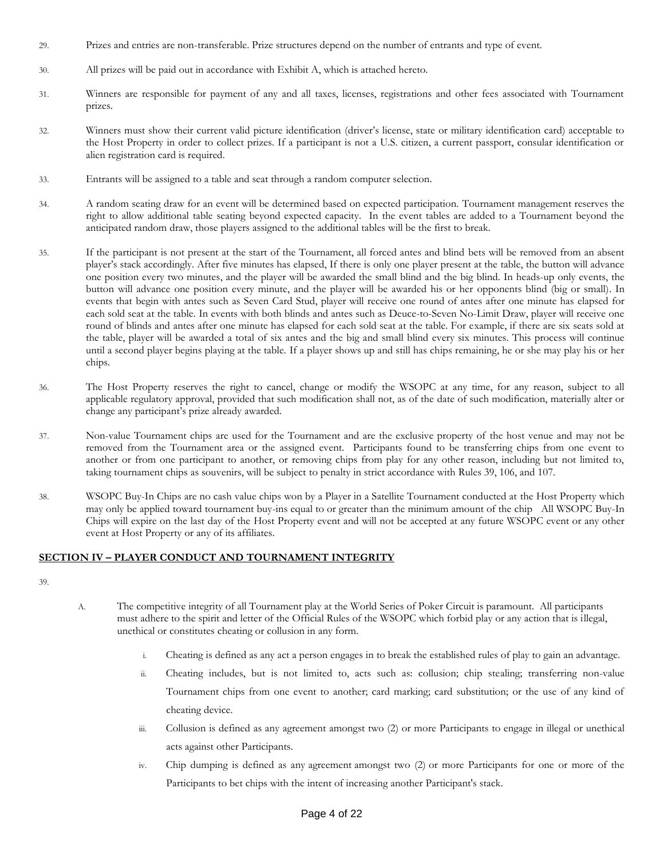- 29. Prizes and entries are non-transferable. Prize structures depend on the number of entrants and type of event.
- 30. All prizes will be paid out in accordance with Exhibit A, which is attached hereto.
- 31. Winners are responsible for payment of any and all taxes, licenses, registrations and other fees associated with Tournament prizes.
- 32. Winners must show their current valid picture identification (driver's license, state or military identification card) acceptable to the Host Property in order to collect prizes. If a participant is not a U.S. citizen, a current passport, consular identification or alien registration card is required.
- 33. Entrants will be assigned to a table and seat through a random computer selection.
- 34. A random seating draw for an event will be determined based on expected participation. Tournament management reserves the right to allow additional table seating beyond expected capacity. In the event tables are added to a Tournament beyond the anticipated random draw, those players assigned to the additional tables will be the first to break.
- 35. If the participant is not present at the start of the Tournament, all forced antes and blind bets will be removed from an absent player's stack accordingly. After five minutes has elapsed, If there is only one player present at the table, the button will advance one position every two minutes, and the player will be awarded the small blind and the big blind. In heads-up only events, the button will advance one position every minute, and the player will be awarded his or her opponents blind (big or small). In events that begin with antes such as Seven Card Stud, player will receive one round of antes after one minute has elapsed for each sold seat at the table. In events with both blinds and antes such as Deuce-to-Seven No-Limit Draw, player will receive one round of blinds and antes after one minute has elapsed for each sold seat at the table. For example, if there are six seats sold at the table, player will be awarded a total of six antes and the big and small blind every six minutes. This process will continue until a second player begins playing at the table. If a player shows up and still has chips remaining, he or she may play his or her chips.
- 36. The Host Property reserves the right to cancel, change or modify the WSOPC at any time, for any reason, subject to all applicable regulatory approval, provided that such modification shall not, as of the date of such modification, materially alter or change any participant's prize already awarded.
- 37. Non-value Tournament chips are used for the Tournament and are the exclusive property of the host venue and may not be removed from the Tournament area or the assigned event. Participants found to be transferring chips from one event to another or from one participant to another, or removing chips from play for any other reason, including but not limited to, taking tournament chips as souvenirs, will be subject to penalty in strict accordance with Rules 39, 106, and 107.
- 38. WSOPC Buy-In Chips are no cash value chips won by a Player in a Satellite Tournament conducted at the Host Property which may only be applied toward tournament buy-ins equal to or greater than the minimum amount of the chip All WSOPC Buy-In Chips will expire on the last day of the Host Property event and will not be accepted at any future WSOPC event or any other event at Host Property or any of its affiliates.

#### **SECTION IV – PLAYER CONDUCT AND TOURNAMENT INTEGRITY**

39.

- A. The competitive integrity of all Tournament play at the World Series of Poker Circuit is paramount. All participants must adhere to the spirit and letter of the Official Rules of the WSOPC which forbid play or any action that is illegal, unethical or constitutes cheating or collusion in any form.
	- i. Cheating is defined as any act a person engages in to break the established rules of play to gain an advantage.
	- ii. Cheating includes, but is not limited to, acts such as: collusion; chip stealing; transferring non-value Tournament chips from one event to another; card marking; card substitution; or the use of any kind of cheating device.
	- iii. Collusion is defined as any agreement amongst two (2) or more Participants to engage in illegal or unethical acts against other Participants.
	- iv. Chip dumping is defined as any agreement amongst two (2) or more Participants for one or more of the Participants to bet chips with the intent of increasing another Participant's stack.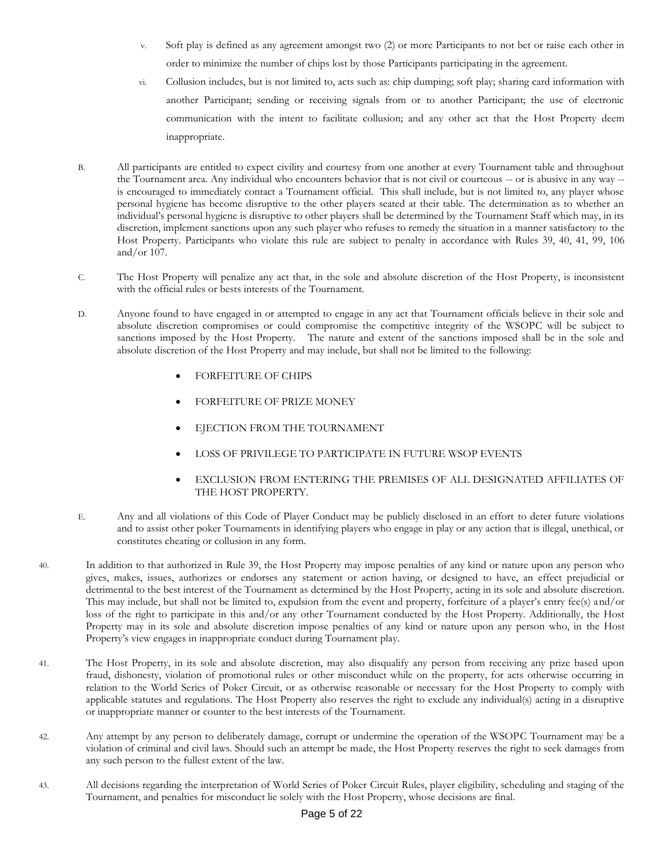- Soft play is defined as any agreement amongst two (2) or more Participants to not bet or raise each other in order to minimize the number of chips lost by those Participants participating in the agreement.
- vi. Collusion includes, but is not limited to, acts such as: chip dumping; soft play; sharing card information with another Participant; sending or receiving signals from or to another Participant; the use of electronic communication with the intent to facilitate collusion; and any other act that the Host Property deem inappropriate.
- B. All participants are entitled to expect civility and courtesy from one another at every Tournament table and throughout the Tournament area. Any individual who encounters behavior that is not civil or courteous -- or is abusive in any way - is encouraged to immediately contact a Tournament official. This shall include, but is not limited to, any player whose personal hygiene has become disruptive to the other players seated at their table. The determination as to whether an individual's personal hygiene is disruptive to other players shall be determined by the Tournament Staff which may, in its discretion, implement sanctions upon any such player who refuses to remedy the situation in a manner satisfactory to the Host Property. Participants who violate this rule are subject to penalty in accordance with Rules 39, 40, 41, 99, 106 and/or 107.
- C. The Host Property will penalize any act that, in the sole and absolute discretion of the Host Property, is inconsistent with the official rules or bests interests of the Tournament.
- D. Anyone found to have engaged in or attempted to engage in any act that Tournament officials believe in their sole and absolute discretion compromises or could compromise the competitive integrity of the WSOPC will be subject to sanctions imposed by the Host Property. The nature and extent of the sanctions imposed shall be in the sole and absolute discretion of the Host Property and may include, but shall not be limited to the following:
	- FORFEITURE OF CHIPS
	- FORFEITURE OF PRIZE MONEY
	- EJECTION FROM THE TOURNAMENT
	- LOSS OF PRIVILEGE TO PARTICIPATE IN FUTURE WSOP EVENTS
	- EXCLUSION FROM ENTERING THE PREMISES OF ALL DESIGNATED AFFILIATES OF THE HOST PROPERTY.
- E. Any and all violations of this Code of Player Conduct may be publicly disclosed in an effort to deter future violations and to assist other poker Tournaments in identifying players who engage in play or any action that is illegal, unethical, or constitutes cheating or collusion in any form.
- 40. In addition to that authorized in Rule 39, the Host Property may impose penalties of any kind or nature upon any person who gives, makes, issues, authorizes or endorses any statement or action having, or designed to have, an effect prejudicial or detrimental to the best interest of the Tournament as determined by the Host Property, acting in its sole and absolute discretion. This may include, but shall not be limited to, expulsion from the event and property, forfeiture of a player's entry fee(s) and/or loss of the right to participate in this and/or any other Tournament conducted by the Host Property. Additionally, the Host Property may in its sole and absolute discretion impose penalties of any kind or nature upon any person who, in the Host Property's view engages in inappropriate conduct during Tournament play.
- 41. The Host Property, in its sole and absolute discretion, may also disqualify any person from receiving any prize based upon fraud, dishonesty, violation of promotional rules or other misconduct while on the property, for acts otherwise occurring in relation to the World Series of Poker Circuit, or as otherwise reasonable or necessary for the Host Property to comply with applicable statutes and regulations. The Host Property also reserves the right to exclude any individual(s) acting in a disruptive or inappropriate manner or counter to the best interests of the Tournament.
- 42. Any attempt by any person to deliberately damage, corrupt or undermine the operation of the WSOPC Tournament may be a violation of criminal and civil laws. Should such an attempt be made, the Host Property reserves the right to seek damages from any such person to the fullest extent of the law.
- 43. All decisions regarding the interpretation of World Series of Poker Circuit Rules, player eligibility, scheduling and staging of the Tournament, and penalties for misconduct lie solely with the Host Property, whose decisions are final.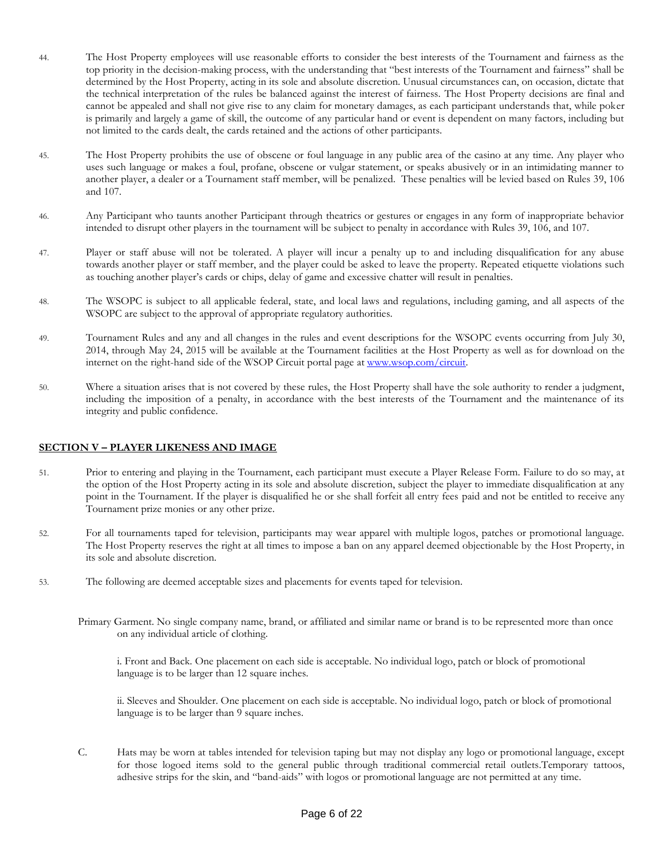- 44. The Host Property employees will use reasonable efforts to consider the best interests of the Tournament and fairness as the top priority in the decision-making process, with the understanding that "best interests of the Tournament and fairness" shall be determined by the Host Property, acting in its sole and absolute discretion. Unusual circumstances can, on occasion, dictate that the technical interpretation of the rules be balanced against the interest of fairness. The Host Property decisions are final and cannot be appealed and shall not give rise to any claim for monetary damages, as each participant understands that, while poker is primarily and largely a game of skill, the outcome of any particular hand or event is dependent on many factors, including but not limited to the cards dealt, the cards retained and the actions of other participants.
- 45. The Host Property prohibits the use of obscene or foul language in any public area of the casino at any time. Any player who uses such language or makes a foul, profane, obscene or vulgar statement, or speaks abusively or in an intimidating manner to another player, a dealer or a Tournament staff member, will be penalized. These penalties will be levied based on Rules 39, 106 and 107.
- 46. Any Participant who taunts another Participant through theatrics or gestures or engages in any form of inappropriate behavior intended to disrupt other players in the tournament will be subject to penalty in accordance with Rules 39, 106, and 107.
- 47. Player or staff abuse will not be tolerated. A player will incur a penalty up to and including disqualification for any abuse towards another player or staff member, and the player could be asked to leave the property. Repeated etiquette violations such as touching another player's cards or chips, delay of game and excessive chatter will result in penalties.
- 48. The WSOPC is subject to all applicable federal, state, and local laws and regulations, including gaming, and all aspects of the WSOPC are subject to the approval of appropriate regulatory authorities.
- 49. Tournament Rules and any and all changes in the rules and event descriptions for the WSOPC events occurring from July 30, 2014, through May 24, 2015 will be available at the Tournament facilities at the Host Property as well as for download on the internet on the right-hand side of the WSOP Circuit portal page at [www.wsop.com/circuit.](http://www.wsop.com/circuit)
- 50. Where a situation arises that is not covered by these rules, the Host Property shall have the sole authority to render a judgment, including the imposition of a penalty, in accordance with the best interests of the Tournament and the maintenance of its integrity and public confidence.

#### **SECTION V – PLAYER LIKENESS AND IMAGE**

- 51. Prior to entering and playing in the Tournament, each participant must execute a Player Release Form. Failure to do so may, at the option of the Host Property acting in its sole and absolute discretion, subject the player to immediate disqualification at any point in the Tournament. If the player is disqualified he or she shall forfeit all entry fees paid and not be entitled to receive any Tournament prize monies or any other prize.
- 52. For all tournaments taped for television, participants may wear apparel with multiple logos, patches or promotional language. The Host Property reserves the right at all times to impose a ban on any apparel deemed objectionable by the Host Property, in its sole and absolute discretion.
- 53. The following are deemed acceptable sizes and placements for events taped for television.
	- Primary Garment. No single company name, brand, or affiliated and similar name or brand is to be represented more than once on any individual article of clothing.

i. Front and Back. One placement on each side is acceptable. No individual logo, patch or block of promotional language is to be larger than 12 square inches.

ii. Sleeves and Shoulder. One placement on each side is acceptable. No individual logo, patch or block of promotional language is to be larger than 9 square inches.

C. Hats may be worn at tables intended for television taping but may not display any logo or promotional language, except for those logoed items sold to the general public through traditional commercial retail outlets.Temporary tattoos, adhesive strips for the skin, and "band-aids" with logos or promotional language are not permitted at any time.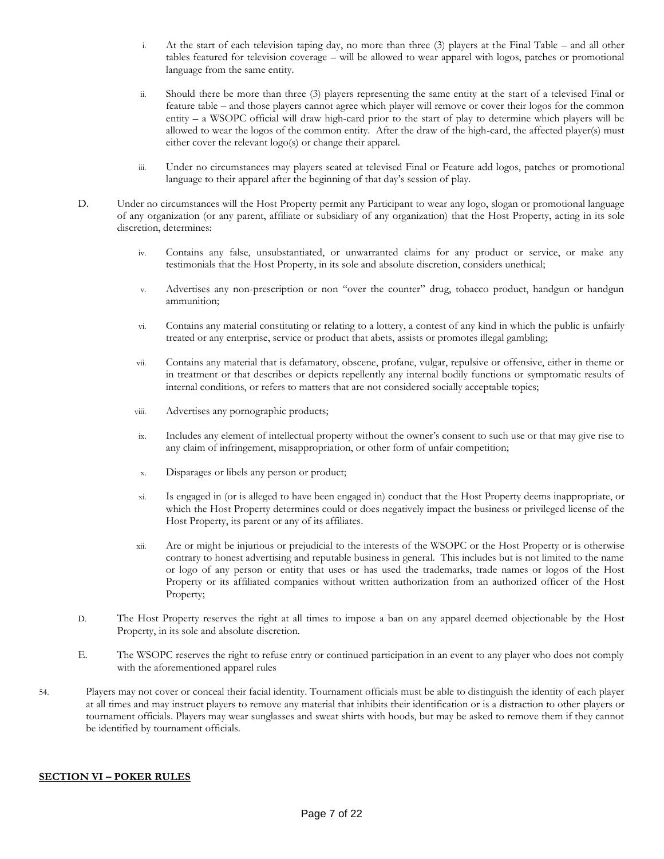- i. At the start of each television taping day, no more than three (3) players at the Final Table and all other tables featured for television coverage – will be allowed to wear apparel with logos, patches or promotional language from the same entity.
- ii. Should there be more than three (3) players representing the same entity at the start of a televised Final or feature table – and those players cannot agree which player will remove or cover their logos for the common entity – a WSOPC official will draw high-card prior to the start of play to determine which players will be allowed to wear the logos of the common entity. After the draw of the high-card, the affected player(s) must either cover the relevant logo(s) or change their apparel.
- iii. Under no circumstances may players seated at televised Final or Feature add logos, patches or promotional language to their apparel after the beginning of that day's session of play.
- D. Under no circumstances will the Host Property permit any Participant to wear any logo, slogan or promotional language of any organization (or any parent, affiliate or subsidiary of any organization) that the Host Property, acting in its sole discretion, determines:
	- iv. Contains any false, unsubstantiated, or unwarranted claims for any product or service, or make any testimonials that the Host Property, in its sole and absolute discretion, considers unethical;
	- v. Advertises any non-prescription or non "over the counter" drug, tobacco product, handgun or handgun ammunition;
	- vi. Contains any material constituting or relating to a lottery, a contest of any kind in which the public is unfairly treated or any enterprise, service or product that abets, assists or promotes illegal gambling;
	- vii. Contains any material that is defamatory, obscene, profane, vulgar, repulsive or offensive, either in theme or in treatment or that describes or depicts repellently any internal bodily functions or symptomatic results of internal conditions, or refers to matters that are not considered socially acceptable topics;
	- viii. Advertises any pornographic products;
	- ix. Includes any element of intellectual property without the owner's consent to such use or that may give rise to any claim of infringement, misappropriation, or other form of unfair competition;
	- x. Disparages or libels any person or product;
	- xi. Is engaged in (or is alleged to have been engaged in) conduct that the Host Property deems inappropriate, or which the Host Property determines could or does negatively impact the business or privileged license of the Host Property, its parent or any of its affiliates.
	- xii. Are or might be injurious or prejudicial to the interests of the WSOPC or the Host Property or is otherwise contrary to honest advertising and reputable business in general. This includes but is not limited to the name or logo of any person or entity that uses or has used the trademarks, trade names or logos of the Host Property or its affiliated companies without written authorization from an authorized officer of the Host Property;
- D. The Host Property reserves the right at all times to impose a ban on any apparel deemed objectionable by the Host Property, in its sole and absolute discretion.
- E. The WSOPC reserves the right to refuse entry or continued participation in an event to any player who does not comply with the aforementioned apparel rules
- 54. Players may not cover or conceal their facial identity. Tournament officials must be able to distinguish the identity of each player at all times and may instruct players to remove any material that inhibits their identification or is a distraction to other players or tournament officials. Players may wear sunglasses and sweat shirts with hoods, but may be asked to remove them if they cannot be identified by tournament officials.

#### **SECTION VI – POKER RULES**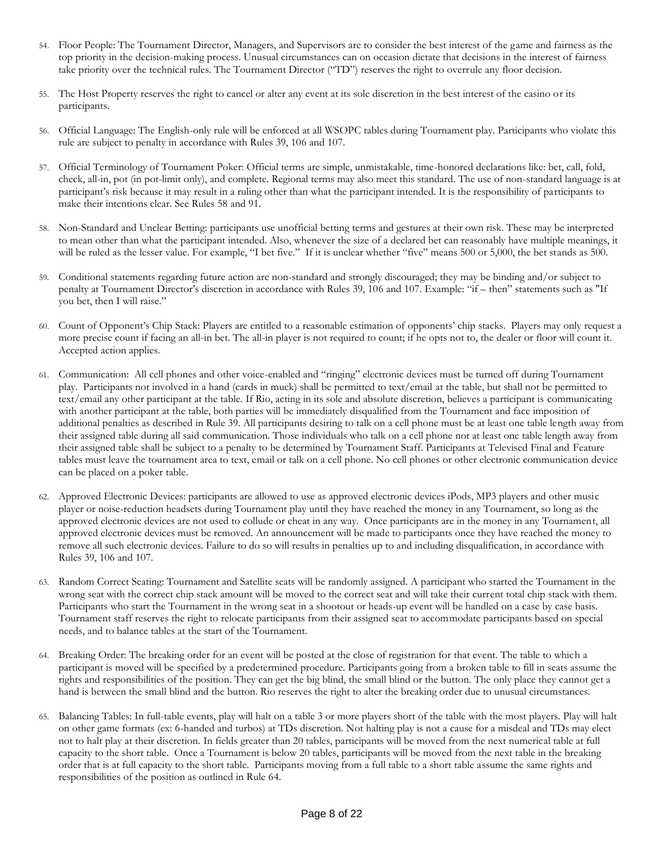- 54. Floor People: The Tournament Director, Managers, and Supervisors are to consider the best interest of the game and fairness as the top priority in the decision-making process. Unusual circumstances can on occasion dictate that decisions in the interest of fairness take priority over the technical rules. The Tournament Director ("TD") reserves the right to overrule any floor decision.
- 55. The Host Property reserves the right to cancel or alter any event at its sole discretion in the best interest of the casino or its participants.
- 56. Official Language: The English-only rule will be enforced at all WSOPC tables during Tournament play. Participants who violate this rule are subject to penalty in accordance with Rules 39, 106 and 107.
- 57. Official Terminology of Tournament Poker: Official terms are simple, unmistakable, time-honored declarations like: bet, call, fold, check, all-in, pot (in pot-limit only), and complete. Regional terms may also meet this standard. The use of non-standard language is at participant's risk because it may result in a ruling other than what the participant intended. It is the responsibility of participants to make their intentions clear. See Rules 58 and 91.
- 58. Non-Standard and Unclear Betting: participants use unofficial betting terms and gestures at their own risk. These may be interpreted to mean other than what the participant intended. Also, whenever the size of a declared bet can reasonably have multiple meanings, it will be ruled as the lesser value. For example, "I bet five." If it is unclear whether "five" means 500 or 5,000, the bet stands as 500.
- 59. Conditional statements regarding future action are non-standard and strongly discouraged; they may be binding and/or subject to penalty at Tournament Director's discretion in accordance with Rules 39, 106 and 107. Example: "if – then" statements such as "If you bet, then I will raise."
- 60. Count of Opponent's Chip Stack: Players are entitled to a reasonable estimation of opponents' chip stacks. Players may only request a more precise count if facing an all-in bet. The all-in player is not required to count; if he opts not to, the dealer or floor will count it. Accepted action applies.
- 61. Communication: All cell phones and other voice-enabled and "ringing" electronic devices must be turned off during Tournament play. Participants not involved in a hand (cards in muck) shall be permitted to text/email at the table, but shall not be permitted to text/email any other participant at the table. If Rio, acting in its sole and absolute discretion, believes a participant is communicating with another participant at the table, both parties will be immediately disqualified from the Tournament and face imposition of additional penalties as described in Rule 39. All participants desiring to talk on a cell phone must be at least one table length away from their assigned table during all said communication. Those individuals who talk on a cell phone not at least one table length away from their assigned table shall be subject to a penalty to be determined by Tournament Staff. Participants at Televised Final and Feature tables must leave the tournament area to text, email or talk on a cell phone. No cell phones or other electronic communication device can be placed on a poker table.
- 62. Approved Electronic Devices: participants are allowed to use as approved electronic devices iPods, MP3 players and other music player or noise-reduction headsets during Tournament play until they have reached the money in any Tournament, so long as the approved electronic devices are not used to collude or cheat in any way. Once participants are in the money in any Tournament, all approved electronic devices must be removed. An announcement will be made to participants once they have reached the money to remove all such electronic devices. Failure to do so will results in penalties up to and including disqualification, in accordance with Rules 39, 106 and 107.
- 63. Random Correct Seating: Tournament and Satellite seats will be randomly assigned. A participant who started the Tournament in the wrong seat with the correct chip stack amount will be moved to the correct seat and will take their current total chip stack with them. Participants who start the Tournament in the wrong seat in a shootout or heads-up event will be handled on a case by case basis. Tournament staff reserves the right to relocate participants from their assigned seat to accommodate participants based on special needs, and to balance tables at the start of the Tournament.
- 64. Breaking Order: The breaking order for an event will be posted at the close of registration for that event. The table to which a participant is moved will be specified by a predetermined procedure. Participants going from a broken table to fill in seats assume the rights and responsibilities of the position. They can get the big blind, the small blind or the button. The only place they cannot get a hand is between the small blind and the button. Rio reserves the right to alter the breaking order due to unusual circumstances.
- 65. Balancing Tables: In full-table events, play will halt on a table 3 or more players short of the table with the most players. Play will halt on other game formats (ex: 6-handed and turbos) at TDs discretion. Not halting play is not a cause for a misdeal and TDs may elect not to halt play at their discretion. In fields greater than 20 tables, participants will be moved from the next numerical table at full capacity to the short table. Once a Tournament is below 20 tables, participants will be moved from the next table in the breaking order that is at full capacity to the short table. Participants moving from a full table to a short table assume the same rights and responsibilities of the position as outlined in Rule 64.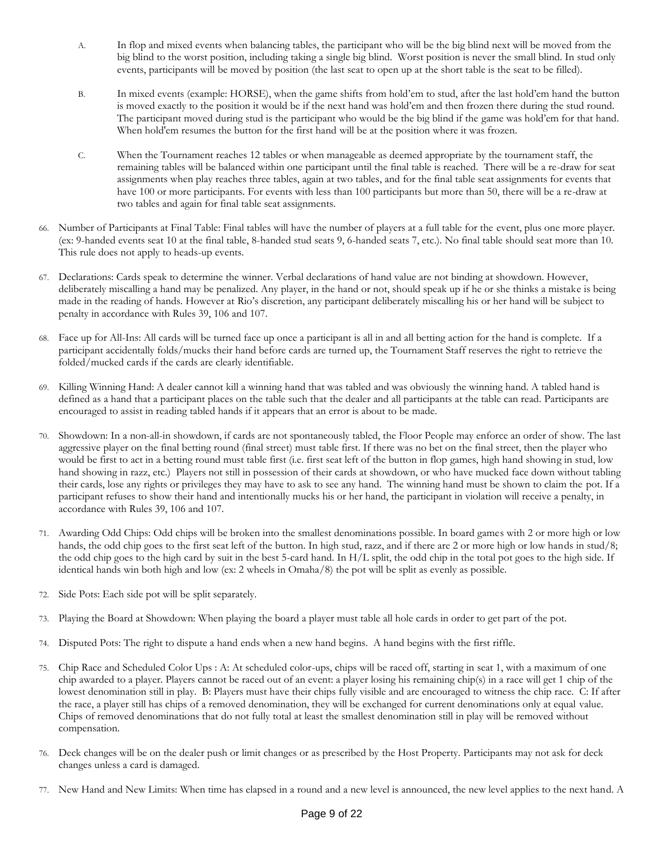- A. In flop and mixed events when balancing tables, the participant who will be the big blind next will be moved from the big blind to the worst position, including taking a single big blind. Worst position is never the small blind. In stud only events, participants will be moved by position (the last seat to open up at the short table is the seat to be filled).
- B. In mixed events (example: HORSE), when the game shifts from hold'em to stud, after the last hold'em hand the button is moved exactly to the position it would be if the next hand was hold'em and then frozen there during the stud round. The participant moved during stud is the participant who would be the big blind if the game was hold'em for that hand. When hold'em resumes the button for the first hand will be at the position where it was frozen.
- C. When the Tournament reaches 12 tables or when manageable as deemed appropriate by the tournament staff, the remaining tables will be balanced within one participant until the final table is reached. There will be a re-draw for seat assignments when play reaches three tables, again at two tables, and for the final table seat assignments for events that have 100 or more participants. For events with less than 100 participants but more than 50, there will be a re-draw at two tables and again for final table seat assignments.
- 66. Number of Participants at Final Table: Final tables will have the number of players at a full table for the event, plus one more player. (ex: 9-handed events seat 10 at the final table, 8-handed stud seats 9, 6-handed seats 7, etc.). No final table should seat more than 10. This rule does not apply to heads-up events.
- 67. Declarations: Cards speak to determine the winner. Verbal declarations of hand value are not binding at showdown. However, deliberately miscalling a hand may be penalized. Any player, in the hand or not, should speak up if he or she thinks a mistake is being made in the reading of hands. However at Rio's discretion, any participant deliberately miscalling his or her hand will be subject to penalty in accordance with Rules 39, 106 and 107.
- 68. Face up for All-Ins: All cards will be turned face up once a participant is all in and all betting action for the hand is complete. If a participant accidentally folds/mucks their hand before cards are turned up, the Tournament Staff reserves the right to retrieve the folded/mucked cards if the cards are clearly identifiable.
- 69. Killing Winning Hand: A dealer cannot kill a winning hand that was tabled and was obviously the winning hand. A tabled hand is defined as a hand that a participant places on the table such that the dealer and all participants at the table can read. Participants are encouraged to assist in reading tabled hands if it appears that an error is about to be made.
- 70. Showdown: In a non-all-in showdown, if cards are not spontaneously tabled, the Floor People may enforce an order of show. The last aggressive player on the final betting round (final street) must table first. If there was no bet on the final street, then the player who would be first to act in a betting round must table first (i.e. first seat left of the button in flop games, high hand showing in stud, low hand showing in razz, etc.) Players not still in possession of their cards at showdown, or who have mucked face down without tabling their cards, lose any rights or privileges they may have to ask to see any hand. The winning hand must be shown to claim the pot. If a participant refuses to show their hand and intentionally mucks his or her hand, the participant in violation will receive a penalty, in accordance with Rules 39, 106 and 107.
- 71. Awarding Odd Chips: Odd chips will be broken into the smallest denominations possible. In board games with 2 or more high or low hands, the odd chip goes to the first seat left of the button. In high stud, razz, and if there are 2 or more high or low hands in stud/8; the odd chip goes to the high card by suit in the best 5-card hand. In H/L split, the odd chip in the total pot goes to the high side. If identical hands win both high and low (ex: 2 wheels in Omaha/8) the pot will be split as evenly as possible.
- 72. Side Pots: Each side pot will be split separately.
- 73. Playing the Board at Showdown: When playing the board a player must table all hole cards in order to get part of the pot.
- 74. Disputed Pots: The right to dispute a hand ends when a new hand begins. A hand begins with the first riffle.
- 75. Chip Race and Scheduled Color Ups : A: At scheduled color-ups, chips will be raced off, starting in seat 1, with a maximum of one chip awarded to a player. Players cannot be raced out of an event: a player losing his remaining chip(s) in a race will get 1 chip of the lowest denomination still in play. B: Players must have their chips fully visible and are encouraged to witness the chip race. C: If after the race, a player still has chips of a removed denomination, they will be exchanged for current denominations only at equal value. Chips of removed denominations that do not fully total at least the smallest denomination still in play will be removed without compensation.
- 76. Deck changes will be on the dealer push or limit changes or as prescribed by the Host Property. Participants may not ask for deck changes unless a card is damaged.
- 77. New Hand and New Limits: When time has elapsed in a round and a new level is announced, the new level applies to the next hand. A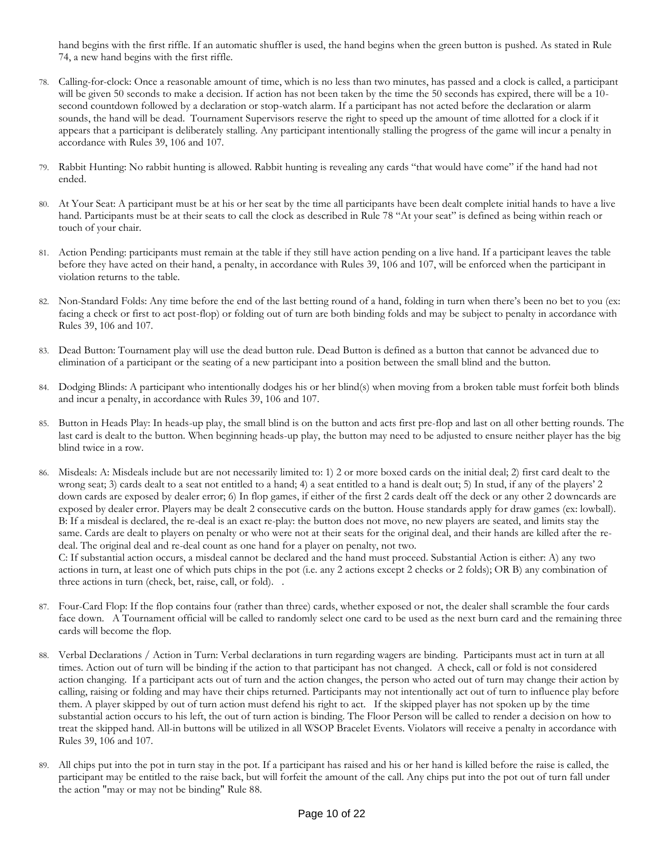hand begins with the first riffle. If an automatic shuffler is used, the hand begins when the green button is pushed. As stated in Rule 74, a new hand begins with the first riffle.

- 78. Calling-for-clock: Once a reasonable amount of time, which is no less than two minutes, has passed and a clock is called, a participant will be given 50 seconds to make a decision. If action has not been taken by the time the 50 seconds has expired, there will be a 10 second countdown followed by a declaration or stop-watch alarm. If a participant has not acted before the declaration or alarm sounds, the hand will be dead. Tournament Supervisors reserve the right to speed up the amount of time allotted for a clock if it appears that a participant is deliberately stalling. Any participant intentionally stalling the progress of the game will incur a penalty in accordance with Rules 39, 106 and 107.
- 79. Rabbit Hunting: No rabbit hunting is allowed. Rabbit hunting is revealing any cards "that would have come" if the hand had not ended.
- 80. At Your Seat: A participant must be at his or her seat by the time all participants have been dealt complete initial hands to have a live hand. Participants must be at their seats to call the clock as described in Rule 78 "At your seat" is defined as being within reach or touch of your chair.
- 81. Action Pending: participants must remain at the table if they still have action pending on a live hand. If a participant leaves the table before they have acted on their hand, a penalty, in accordance with Rules 39, 106 and 107, will be enforced when the participant in violation returns to the table.
- 82. Non-Standard Folds: Any time before the end of the last betting round of a hand, folding in turn when there's been no bet to you (ex: facing a check or first to act post-flop) or folding out of turn are both binding folds and may be subject to penalty in accordance with Rules 39, 106 and 107.
- 83. Dead Button: Tournament play will use the dead button rule. Dead Button is defined as a button that cannot be advanced due to elimination of a participant or the seating of a new participant into a position between the small blind and the button.
- 84. Dodging Blinds: A participant who intentionally dodges his or her blind(s) when moving from a broken table must forfeit both blinds and incur a penalty, in accordance with Rules 39, 106 and 107.
- Button in Heads Play: In heads-up play, the small blind is on the button and acts first pre-flop and last on all other betting rounds. The last card is dealt to the button. When beginning heads-up play, the button may need to be adjusted to ensure neither player has the big blind twice in a row.
- 86. Misdeals: A: Misdeals include but are not necessarily limited to: 1) 2 or more boxed cards on the initial deal; 2) first card dealt to the wrong seat; 3) cards dealt to a seat not entitled to a hand; 4) a seat entitled to a hand is dealt out; 5) In stud, if any of the players' 2 down cards are exposed by dealer error; 6) In flop games, if either of the first 2 cards dealt off the deck or any other 2 downcards are exposed by dealer error. Players may be dealt 2 consecutive cards on the button. House standards apply for draw games (ex: lowball). B: If a misdeal is declared, the re-deal is an exact re-play: the button does not move, no new players are seated, and limits stay the same. Cards are dealt to players on penalty or who were not at their seats for the original deal, and their hands are killed after the redeal. The original deal and re-deal count as one hand for a player on penalty, not two.

C: If substantial action occurs, a misdeal cannot be declared and the hand must proceed. Substantial Action is either: A) any two actions in turn, at least one of which puts chips in the pot (i.e. any 2 actions except 2 checks or 2 folds); OR B) any combination of three actions in turn (check, bet, raise, call, or fold). .

- 87. Four-Card Flop: If the flop contains four (rather than three) cards, whether exposed or not, the dealer shall scramble the four cards face down. A Tournament official will be called to randomly select one card to be used as the next burn card and the remaining three cards will become the flop.
- 88. Verbal Declarations / Action in Turn: Verbal declarations in turn regarding wagers are binding. Participants must act in turn at all times. Action out of turn will be binding if the action to that participant has not changed. A check, call or fold is not considered action changing. If a participant acts out of turn and the action changes, the person who acted out of turn may change their action by calling, raising or folding and may have their chips returned. Participants may not intentionally act out of turn to influence play before them. A player skipped by out of turn action must defend his right to act. If the skipped player has not spoken up by the time substantial action occurs to his left, the out of turn action is binding. The Floor Person will be called to render a decision on how to treat the skipped hand. All-in buttons will be utilized in all WSOP Bracelet Events. Violators will receive a penalty in accordance with Rules 39, 106 and 107.
- 89. All chips put into the pot in turn stay in the pot. If a participant has raised and his or her hand is killed before the raise is called, the participant may be entitled to the raise back, but will forfeit the amount of the call. Any chips put into the pot out of turn fall under the action "may or may not be binding" Rule 88.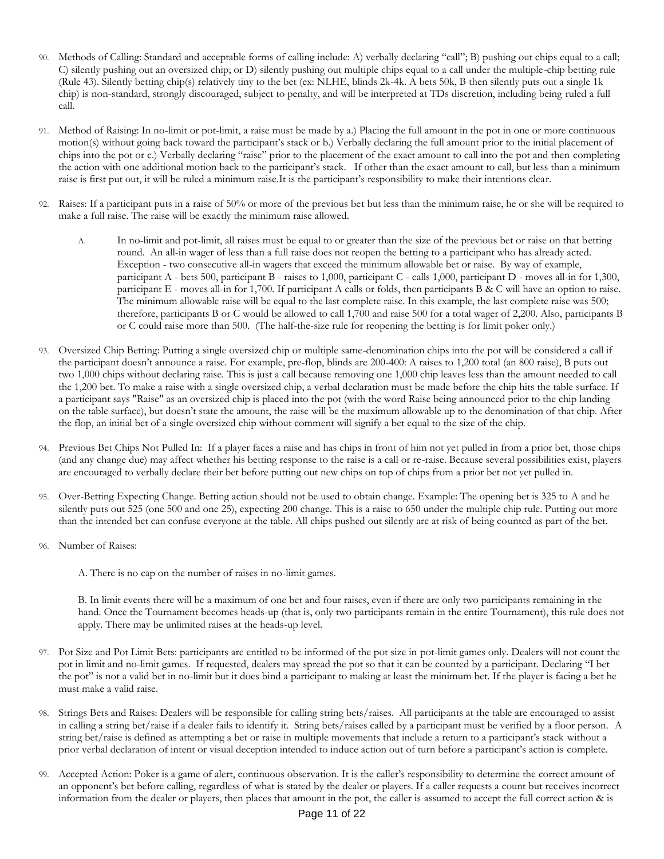- Methods of Calling: Standard and acceptable forms of calling include: A) verbally declaring "call"; B) pushing out chips equal to a call; C) silently pushing out an oversized chip; or D) silently pushing out multiple chips equal to a call under the multiple-chip betting rule (Rule 43). Silently betting chip(s) relatively tiny to the bet (ex: NLHE, blinds 2k-4k. A bets 50k, B then silently puts out a single 1k chip) is non-standard, strongly discouraged, subject to penalty, and will be interpreted at TDs discretion, including being ruled a full call.
- 91. Method of Raising: In no-limit or pot-limit, a raise must be made by a.) Placing the full amount in the pot in one or more continuous motion(s) without going back toward the participant's stack or b.) Verbally declaring the full amount prior to the initial placement of chips into the pot or c.) Verbally declaring "raise" prior to the placement of the exact amount to call into the pot and then completing the action with one additional motion back to the participant's stack. If other than the exact amount to call, but less than a minimum raise is first put out, it will be ruled a minimum raise.It is the participant's responsibility to make their intentions clear.
- 92. Raises: If a participant puts in a raise of 50% or more of the previous bet but less than the minimum raise, he or she will be required to make a full raise. The raise will be exactly the minimum raise allowed.
	- A. In no-limit and pot-limit, all raises must be equal to or greater than the size of the previous bet or raise on that betting round. An all-in wager of less than a full raise does not reopen the betting to a participant who has already acted. Exception - two consecutive all-in wagers that exceed the minimum allowable bet or raise. By way of example, participant A - bets 500, participant B - raises to 1,000, participant C - calls 1,000, participant D - moves all-in for 1,300, participant E - moves all-in for 1,700. If participant A calls or folds, then participants B & C will have an option to raise. The minimum allowable raise will be equal to the last complete raise. In this example, the last complete raise was 500; therefore, participants B or C would be allowed to call 1,700 and raise 500 for a total wager of 2,200. Also, participants B or C could raise more than 500. (The half-the-size rule for reopening the betting is for limit poker only.)
- 93. Oversized Chip Betting: Putting a single oversized chip or multiple same-denomination chips into the pot will be considered a call if the participant doesn't announce a raise. For example, pre-flop, blinds are 200-400: A raises to 1,200 total (an 800 raise), B puts out two 1,000 chips without declaring raise. This is just a call because removing one 1,000 chip leaves less than the amount needed to call the 1,200 bet. To make a raise with a single oversized chip, a verbal declaration must be made before the chip hits the table surface. If a participant says "Raise" as an oversized chip is placed into the pot (with the word Raise being announced prior to the chip landing on the table surface), but doesn't state the amount, the raise will be the maximum allowable up to the denomination of that chip. After the flop, an initial bet of a single oversized chip without comment will signify a bet equal to the size of the chip.
- 94. Previous Bet Chips Not Pulled In: If a player faces a raise and has chips in front of him not yet pulled in from a prior bet, those chips (and any change due) may affect whether his betting response to the raise is a call or re-raise. Because several possibilities exist, players are encouraged to verbally declare their bet before putting out new chips on top of chips from a prior bet not yet pulled in.
- 95. Over-Betting Expecting Change. Betting action should not be used to obtain change. Example: The opening bet is 325 to A and he silently puts out 525 (one 500 and one 25), expecting 200 change. This is a raise to 650 under the multiple chip rule. Putting out more than the intended bet can confuse everyone at the table. All chips pushed out silently are at risk of being counted as part of the bet.
- 96. Number of Raises:
	- A. There is no cap on the number of raises in no-limit games.

B. In limit events there will be a maximum of one bet and four raises, even if there are only two participants remaining in the hand. Once the Tournament becomes heads-up (that is, only two participants remain in the entire Tournament), this rule does not apply. There may be unlimited raises at the heads-up level.

- 97. Pot Size and Pot Limit Bets: participants are entitled to be informed of the pot size in pot-limit games only. Dealers will not count the pot in limit and no-limit games. If requested, dealers may spread the pot so that it can be counted by a participant. Declaring "I bet the pot" is not a valid bet in no-limit but it does bind a participant to making at least the minimum bet. If the player is facing a bet he must make a valid raise.
- 98. Strings Bets and Raises: Dealers will be responsible for calling string bets/raises. All participants at the table are encouraged to assist in calling a string bet/raise if a dealer fails to identify it. String bets/raises called by a participant must be verified by a floor person. A string bet/raise is defined as attempting a bet or raise in multiple movements that include a return to a participant's stack without a prior verbal declaration of intent or visual deception intended to induce action out of turn before a participant's action is complete.
- 99. Accepted Action: Poker is a game of alert, continuous observation. It is the caller's responsibility to determine the correct amount of an opponent's bet before calling, regardless of what is stated by the dealer or players. If a caller requests a count but receives incorrect information from the dealer or players, then places that amount in the pot, the caller is assumed to accept the full correct action & is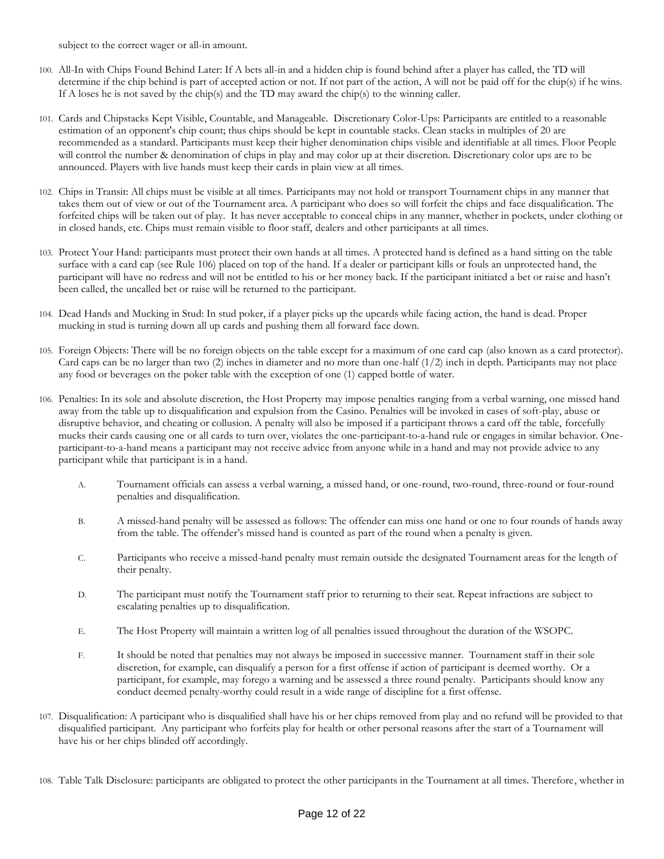subject to the correct wager or all-in amount.

- 100. All-In with Chips Found Behind Later: If A bets all-in and a hidden chip is found behind after a player has called, the TD will determine if the chip behind is part of accepted action or not. If not part of the action, A will not be paid off for the chip(s) if he wins. If A loses he is not saved by the chip(s) and the TD may award the chip(s) to the winning caller.
- 101. Cards and Chipstacks Kept Visible, Countable, and Manageable. Discretionary Color-Ups: Participants are entitled to a reasonable estimation of an opponent's chip count; thus chips should be kept in countable stacks. Clean stacks in multiples of 20 are recommended as a standard. Participants must keep their higher denomination chips visible and identifiable at all times. Floor People will control the number & denomination of chips in play and may color up at their discretion. Discretionary color ups are to be announced. Players with live hands must keep their cards in plain view at all times.
- 102. Chips in Transit: All chips must be visible at all times. Participants may not hold or transport Tournament chips in any manner that takes them out of view or out of the Tournament area. A participant who does so will forfeit the chips and face disqualification. The forfeited chips will be taken out of play. It has never acceptable to conceal chips in any manner, whether in pockets, under clothing or in closed hands, etc. Chips must remain visible to floor staff, dealers and other participants at all times.
- 103. Protect Your Hand: participants must protect their own hands at all times. A protected hand is defined as a hand sitting on the table surface with a card cap (see Rule 106) placed on top of the hand. If a dealer or participant kills or fouls an unprotected hand, the participant will have no redress and will not be entitled to his or her money back. If the participant initiated a bet or raise and hasn't been called, the uncalled bet or raise will be returned to the participant.
- 104. Dead Hands and Mucking in Stud: In stud poker, if a player picks up the upcards while facing action, the hand is dead. Proper mucking in stud is turning down all up cards and pushing them all forward face down.
- 105. Foreign Objects: There will be no foreign objects on the table except for a maximum of one card cap (also known as a card protector). Card caps can be no larger than two  $(2)$  inches in diameter and no more than one-half  $(1/2)$  inch in depth. Participants may not place any food or beverages on the poker table with the exception of one (1) capped bottle of water.
- 106. Penalties: In its sole and absolute discretion, the Host Property may impose penalties ranging from a verbal warning, one missed hand away from the table up to disqualification and expulsion from the Casino. Penalties will be invoked in cases of soft-play, abuse or disruptive behavior, and cheating or collusion. A penalty will also be imposed if a participant throws a card off the table, forcefully mucks their cards causing one or all cards to turn over, violates the one-participant-to-a-hand rule or engages in similar behavior. Oneparticipant-to-a-hand means a participant may not receive advice from anyone while in a hand and may not provide advice to any participant while that participant is in a hand.
	- A. Tournament officials can assess a verbal warning, a missed hand, or one-round, two-round, three-round or four-round penalties and disqualification.
	- B. A missed-hand penalty will be assessed as follows: The offender can miss one hand or one to four rounds of hands away from the table. The offender's missed hand is counted as part of the round when a penalty is given.
	- C. Participants who receive a missed-hand penalty must remain outside the designated Tournament areas for the length of their penalty.
	- D. The participant must notify the Tournament staff prior to returning to their seat. Repeat infractions are subject to escalating penalties up to disqualification.
	- E. The Host Property will maintain a written log of all penalties issued throughout the duration of the WSOPC.
	- F. It should be noted that penalties may not always be imposed in successive manner. Tournament staff in their sole discretion, for example, can disqualify a person for a first offense if action of participant is deemed worthy. Or a participant, for example, may forego a warning and be assessed a three round penalty. Participants should know any conduct deemed penalty-worthy could result in a wide range of discipline for a first offense.
- 107. Disqualification: A participant who is disqualified shall have his or her chips removed from play and no refund will be provided to that disqualified participant. Any participant who forfeits play for health or other personal reasons after the start of a Tournament will have his or her chips blinded off accordingly.
- 108. Table Talk Disclosure: participants are obligated to protect the other participants in the Tournament at all times. Therefore, whether in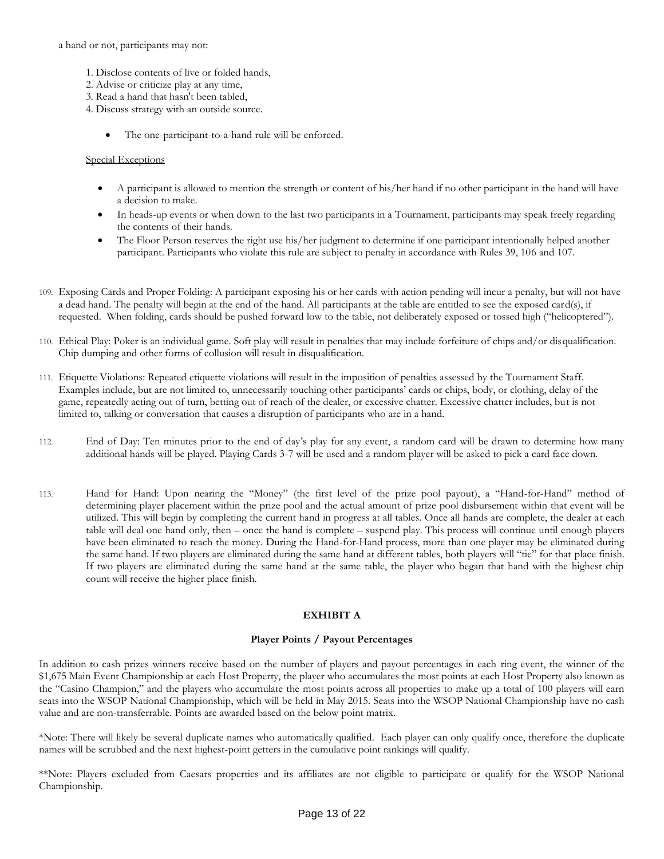a hand or not, participants may not:

- 1. Disclose contents of live or folded hands,
- 2. Advise or criticize play at any time,
- 3. Read a hand that hasn't been tabled,
- 4. Discuss strategy with an outside source.
	- The one-participant-to-a-hand rule will be enforced.

#### Special Exceptions

- A participant is allowed to mention the strength or content of his/her hand if no other participant in the hand will have a decision to make.
- In heads-up events or when down to the last two participants in a Tournament, participants may speak freely regarding the contents of their hands.
- The Floor Person reserves the right use his/her judgment to determine if one participant intentionally helped another participant. Participants who violate this rule are subject to penalty in accordance with Rules 39, 106 and 107.
- 109. Exposing Cards and Proper Folding: A participant exposing his or her cards with action pending will incur a penalty, but will not have a dead hand. The penalty will begin at the end of the hand. All participants at the table are entitled to see the exposed card(s), if requested. When folding, cards should be pushed forward low to the table, not deliberately exposed or tossed high ("helicoptered").
- 110. Ethical Play: Poker is an individual game. Soft play will result in penalties that may include forfeiture of chips and/or disqualification. Chip dumping and other forms of collusion will result in disqualification.
- 111. Etiquette Violations: Repeated etiquette violations will result in the imposition of penalties assessed by the Tournament Staff. Examples include, but are not limited to, unnecessarily touching other participants' cards or chips, body, or clothing, delay of the game, repeatedly acting out of turn, betting out of reach of the dealer, or excessive chatter. Excessive chatter includes, but is not limited to, talking or conversation that causes a disruption of participants who are in a hand.
- 112. End of Day: Ten minutes prior to the end of day's play for any event, a random card will be drawn to determine how many additional hands will be played. Playing Cards 3-7 will be used and a random player will be asked to pick a card face down.
- 113. Hand for Hand: Upon nearing the "Money" (the first level of the prize pool payout), a "Hand-for-Hand" method of determining player placement within the prize pool and the actual amount of prize pool disbursement within that event will be utilized. This will begin by completing the current hand in progress at all tables. Once all hands are complete, the dealer at each table will deal one hand only, then – once the hand is complete – suspend play. This process will continue until enough players have been eliminated to reach the money. During the Hand-for-Hand process, more than one player may be eliminated during the same hand. If two players are eliminated during the same hand at different tables, both players will "tie" for that place finish. If two players are eliminated during the same hand at the same table, the player who began that hand with the highest chip count will receive the higher place finish.

#### **EXHIBIT A**

#### **Player Points / Payout Percentages**

In addition to cash prizes winners receive based on the number of players and payout percentages in each ring event, the winner of the \$1,675 Main Event Championship at each Host Property, the player who accumulates the most points at each Host Property also known as the "Casino Champion," and the players who accumulate the most points across all properties to make up a total of 100 players will earn seats into the WSOP National Championship, which will be held in May 2015. Seats into the WSOP National Championship have no cash value and are non-transferrable. Points are awarded based on the below point matrix.

\*Note: There will likely be several duplicate names who automatically qualified. Each player can only qualify once, therefore the duplicate names will be scrubbed and the next highest-point getters in the cumulative point rankings will qualify.

\*\*Note: Players excluded from Caesars properties and its affiliates are not eligible to participate or qualify for the WSOP National Championship.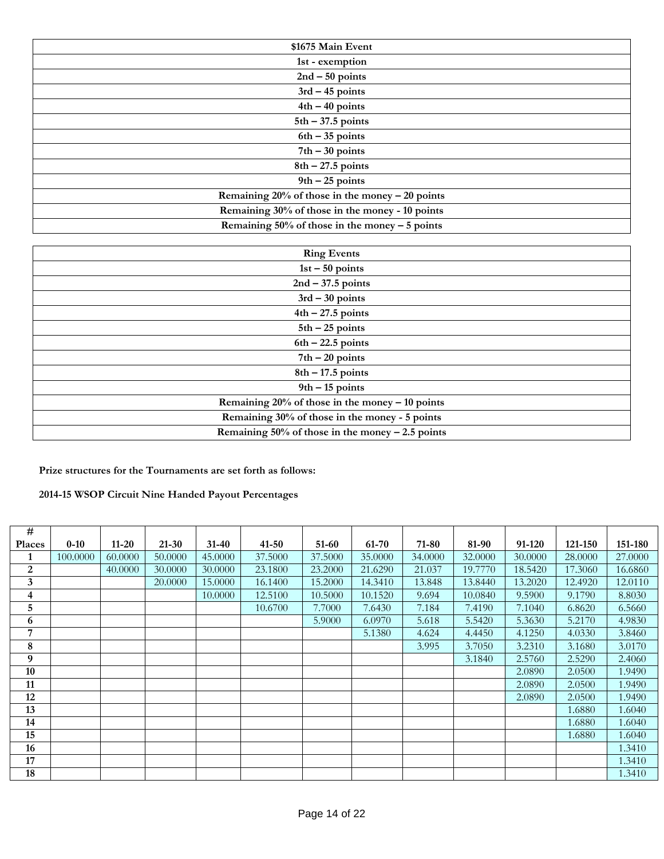| \$1675 Main Event                                   |
|-----------------------------------------------------|
| 1st - exemption                                     |
| $2nd - 50$ points                                   |
| $3rd - 45$ points                                   |
| $4th - 40$ points                                   |
| $5th - 37.5$ points                                 |
| $6th - 35$ points                                   |
| $7th - 30$ points                                   |
| $8th - 27.5$ points                                 |
| $9th - 25$ points                                   |
| Remaining $20\%$ of those in the money $-20$ points |
| Remaining 30% of those in the money - 10 points     |
| Remaining $50\%$ of those in the money $-5$ points  |

| <b>Ring Events</b>                                   |
|------------------------------------------------------|
| $1st - 50$ points                                    |
| $2nd - 37.5$ points                                  |
| $3rd - 30$ points                                    |
| $4th - 27.5$ points                                  |
| $5th - 25$ points                                    |
| $6th - 22.5$ points                                  |
| $7th - 20$ points                                    |
| $8th - 17.5$ points                                  |
| $9th - 15$ points                                    |
| Remaining $20\%$ of those in the money $-10$ points  |
| Remaining 30% of those in the money - 5 points       |
| Remaining $50\%$ of those in the money $-2.5$ points |

**Prize structures for the Tournaments are set forth as follows:**

**2014-15 WSOP Circuit Nine Handed Payout Percentages**

| #             |          |           |           |           |           |         |         |         |         |         |         |         |
|---------------|----------|-----------|-----------|-----------|-----------|---------|---------|---------|---------|---------|---------|---------|
| <b>Places</b> | $0 - 10$ | $11 - 20$ | $21 - 30$ | $31 - 40$ | $41 - 50$ | 51-60   | 61-70   | 71-80   | 81-90   | 91-120  | 121-150 | 151-180 |
| 1             | 100.0000 | 60.0000   | 50.0000   | 45.0000   | 37.5000   | 37.5000 | 35.0000 | 34.0000 | 32.0000 | 30.0000 | 28.0000 | 27.0000 |
| 2             |          | 40.0000   | 30.0000   | 30.0000   | 23.1800   | 23.2000 | 21.6290 | 21.037  | 19.7770 | 18.5420 | 17.3060 | 16.6860 |
| 3             |          |           | 20.0000   | 15.0000   | 16.1400   | 15.2000 | 14.3410 | 13.848  | 13.8440 | 13.2020 | 12.4920 | 12.0110 |
| 4             |          |           |           | 10.0000   | 12.5100   | 10.5000 | 10.1520 | 9.694   | 10.0840 | 9.5900  | 9.1790  | 8.8030  |
| 5             |          |           |           |           | 10.6700   | 7.7000  | 7.6430  | 7.184   | 7.4190  | 7.1040  | 6.8620  | 6.5660  |
| 6             |          |           |           |           |           | 5.9000  | 6.0970  | 5.618   | 5.5420  | 5.3630  | 5.2170  | 4.9830  |
| 7             |          |           |           |           |           |         | 5.1380  | 4.624   | 4.4450  | 4.1250  | 4.0330  | 3.8460  |
| 8             |          |           |           |           |           |         |         | 3.995   | 3.7050  | 3.2310  | 3.1680  | 3.0170  |
| 9             |          |           |           |           |           |         |         |         | 3.1840  | 2.5760  | 2.5290  | 2.4060  |
| 10            |          |           |           |           |           |         |         |         |         | 2.0890  | 2.0500  | 1.9490  |
| 11            |          |           |           |           |           |         |         |         |         | 2.0890  | 2.0500  | 1.9490  |
| 12            |          |           |           |           |           |         |         |         |         | 2.0890  | 2.0500  | 1.9490  |
| 13            |          |           |           |           |           |         |         |         |         |         | 1.6880  | 1.6040  |
| 14            |          |           |           |           |           |         |         |         |         |         | 1.6880  | 1.6040  |
| 15            |          |           |           |           |           |         |         |         |         |         | 1.6880  | 1.6040  |
| 16            |          |           |           |           |           |         |         |         |         |         |         | 1.3410  |
| 17            |          |           |           |           |           |         |         |         |         |         |         | 1.3410  |
| 18            |          |           |           |           |           |         |         |         |         |         |         | 1.3410  |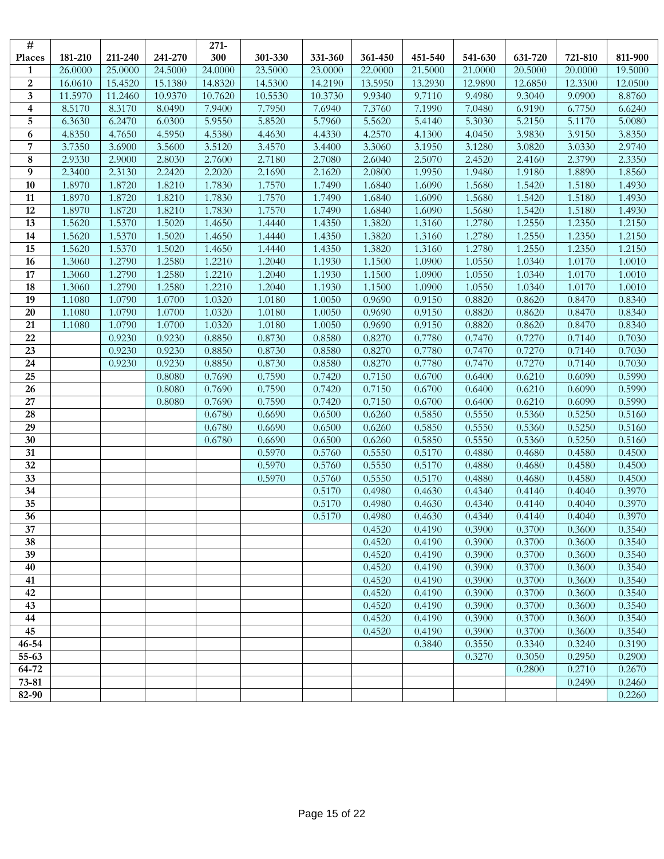| #                       |         |         |         | $271 -$          |                  |                  |                  |                  |                  |                  |                  |                  |
|-------------------------|---------|---------|---------|------------------|------------------|------------------|------------------|------------------|------------------|------------------|------------------|------------------|
| Places                  | 181-210 | 211-240 | 241-270 | 300              | 301-330          | 331-360          | 361-450          | 451-540          | 541-630          | 631-720          | 721-810          | 811-900          |
| $\mathbf{1}$            | 26.0000 | 25.0000 | 24.5000 | 24.0000          | 23.5000          | 23.0000          | 22.0000          | 21.5000          | 21.0000          | 20.5000          | 20.0000          | 19.5000          |
| $\boldsymbol{2}$        | 16.0610 | 15.4520 | 15.1380 | 14.8320          | 14.5300          | 14.2190          | 13.5950          | 13.2930          | 12.9890          | 12.6850          | 12.3300          | 12.0500          |
| $\mathbf{3}$            | 11.5970 | 11.2460 | 10.9370 | 10.7620          | 10.5530          | 10.3730          | 9.9340           | 9.7110           | 9.4980           | 9.3040           | 9.0900           | 8.8760           |
| $\overline{\mathbf{4}}$ | 8.5170  | 8.3170  | 8.0490  | 7.9400           | 7.7950           | 7.6940           | 7.3760           | 7.1990           | 7.0480           | 6.9190           | 6.7750           | 6.6240           |
| $\sqrt{5}$              | 6.3630  | 6.2470  | 6.0300  | 5.9550           | 5.8520           | 5.7960           | 5.5620           | 5.4140           | 5.3030           | 5.2150           | 5.1170           | 5.0080           |
| 6                       | 4.8350  | 4.7650  | 4.5950  | 4.5380           | 4.4630           | 4.4330           | 4.2570           | 4.1300           | 4.0450           | 3.9830           | 3.9150           | 3.8350           |
| $\overline{7}$          | 3.7350  | 3.6900  | 3.5600  | 3.5120           | 3.4570           | 3.4400           | 3.3060           | 3.1950           | 3.1280           | 3.0820           | 3.0330           | 2.9740           |
| 8                       | 2.9330  | 2.9000  | 2.8030  | 2.7600           | 2.7180           | 2.7080           | 2.6040           | 2.5070           | 2.4520           | 2.4160           | 2.3790           | 2.3350           |
| 9                       | 2.3400  | 2.3130  | 2.2420  | 2.2020           | 2.1690           | 2.1620           | 2.0800           | 1.9950           | 1.9480           | 1.9180           | 1.8890           | 1.8560           |
| 10                      | 1.8970  | 1.8720  | 1.8210  | 1.7830           | 1.7570           | 1.7490           | 1.6840           | 1.6090           | 1.5680           | 1.5420           | 1.5180           | 1.4930           |
| 11                      | 1.8970  | 1.8720  | 1.8210  | 1.7830           | 1.7570           | 1.7490           | 1.6840           | 1.6090           | 1.5680           | 1.5420           | 1.5180           | 1.4930           |
| 12                      | 1.8970  | 1.8720  | 1.8210  | 1.7830           | 1.7570           | 1.7490           | 1.6840           | 1.6090           | 1.5680           | 1.5420           | 1.5180           | 1.4930           |
| 13                      | 1.5620  | 1.5370  | 1.5020  | 1.4650           | 1.4440           | 1.4350           | 1.3820           | 1.3160           | 1.2780           | 1.2550           | 1.2350           | 1.2150           |
| 14                      | 1.5620  | 1.5370  | 1.5020  | 1.4650           | 1.4440           | 1.4350           | 1.3820           | 1.3160           | 1.2780           | 1.2550           | 1.2350           | 1.2150           |
| 15                      | 1.5620  | 1.5370  | 1.5020  | 1.4650           | 1.4440           | 1.4350           | 1.3820           | 1.3160           | 1.2780           | 1.2550           | 1.2350           | 1.2150           |
| 16                      | 1.3060  | 1.2790  | 1.2580  | 1.2210           | 1.2040           | 1.1930           | 1.1500           | 1.0900           | 1.0550           | 1.0340           | 1.0170           | 1.0010           |
| 17                      | 1.3060  | 1.2790  | 1.2580  | 1.2210           | 1.2040           | 1.1930           | 1.1500           | 1.0900           | 1.0550           | 1.0340           | 1.0170           | 1.0010           |
| 18                      | 1.3060  | 1.2790  | 1.2580  | 1.2210           | 1.2040           | 1.1930           | 1.1500           | 1.0900           | 1.0550           | 1.0340           | 1.0170           | 1.0010           |
| 19                      | 1.1080  | 1.0790  | 1.0700  | 1.0320           | 1.0180           | 1.0050           | 0.9690           | 0.9150           | 0.8820           | 0.8620           | 0.8470           | 0.8340           |
| $20\,$                  | 1.1080  | 1.0790  | 1.0700  | 1.0320           | 1.0180           | 1.0050           | 0.9690           | 0.9150           | 0.8820           | 0.8620           | 0.8470           | 0.8340           |
| 21                      | 1.1080  | 1.0790  | 1.0700  | 1.0320           | 1.0180           | 1.0050           | 0.9690           | 0.9150           | 0.8820           | 0.8620           | 0.8470           | 0.8340           |
| 22                      |         | 0.9230  | 0.9230  | 0.8850           | 0.8730           | 0.8580           | 0.8270           | 0.7780           | 0.7470           | 0.7270           | 0.7140           | 0.7030           |
| 23                      |         | 0.9230  | 0.9230  | 0.8850           | 0.8730           | 0.8580           | 0.8270           | 0.7780           | 0.7470           | 0.7270           | 0.7140           | 0.7030           |
| 24                      |         | 0.9230  | 0.9230  | 0.8850           | 0.8730           | 0.8580           | 0.8270           | 0.7780           | 0.7470           | 0.7270           | 0.7140           | 0.7030           |
| 25                      |         |         | 0.8080  | 0.7690           | 0.7590           | 0.7420           | 0.7150           | 0.6700           | 0.6400           | 0.6210           | 0.6090           | 0.5990           |
| $\overline{26}$         |         |         | 0.8080  | 0.7690           | 0.7590           | 0.7420           | 0.7150           | 0.6700           | 0.6400           | 0.6210           | 0.6090           | 0.5990           |
| 27                      |         |         | 0.8080  | 0.7690           | 0.7590           | 0.7420           | 0.7150           | 0.6700           | 0.6400           | 0.6210           | 0.6090           | 0.5990           |
| 28                      |         |         |         | 0.6780           | 0.6690           | 0.6500           | 0.6260           | 0.5850           | 0.5550           | 0.5360           | 0.5250           | 0.5160           |
| 29<br>30                |         |         |         | 0.6780<br>0.6780 | 0.6690<br>0.6690 | 0.6500           | 0.6260<br>0.6260 | 0.5850<br>0.5850 | 0.5550<br>0.5550 | 0.5360<br>0.5360 | 0.5250<br>0.5250 | 0.5160<br>0.5160 |
| 31                      |         |         |         |                  | 0.5970           | 0.6500<br>0.5760 | 0.5550           | 0.5170           | 0.4880           | 0.4680           | 0.4580           | 0.4500           |
| 32                      |         |         |         |                  | 0.5970           | 0.5760           | 0.5550           | 0.5170           | 0.4880           | 0.4680           | 0.4580           | 0.4500           |
| 33                      |         |         |         |                  | 0.5970           | 0.5760           | 0.5550           | 0.5170           | 0.4880           | 0.4680           | 0.4580           | 0.4500           |
| 34                      |         |         |         |                  |                  | 0.5170           | 0.4980           | 0.4630           | 0.4340           | 0.4140           | 0.4040           | 0.3970           |
| 35                      |         |         |         |                  |                  | 0.5170           | 0.4980           | 0.4630           | 0.4340           | 0.4140           | 0.4040           | 0.3970           |
| 36                      |         |         |         |                  |                  | 0.5170           | 0.4980           | 0.4630           | 0.4340           | 0.4140           | 0.4040           | 0.3970           |
| 37                      |         |         |         |                  |                  |                  | 0.4520           | 0.4190           | 0.3900           | 0.3700           | 0.3600           | 0.3540           |
| 38                      |         |         |         |                  |                  |                  | 0.4520           | 0.4190           | 0.3900           | 0.3700           | 0.3600           | 0.3540           |
| 39                      |         |         |         |                  |                  |                  | 0.4520           | 0.4190           | 0.3900           | 0.3700           | 0.3600           | 0.3540           |
| 40                      |         |         |         |                  |                  |                  | 0.4520           | 0.4190           | 0.3900           | 0.3700           | 0.3600           | 0.3540           |
| 41                      |         |         |         |                  |                  |                  | 0.4520           | 0.4190           | 0.3900           | 0.3700           | 0.3600           | 0.3540           |
| 42                      |         |         |         |                  |                  |                  | 0.4520           | 0.4190           | 0.3900           | 0.3700           | 0.3600           | 0.3540           |
| 43                      |         |         |         |                  |                  |                  | 0.4520           | 0.4190           | 0.3900           | 0.3700           | 0.3600           | 0.3540           |
| 44                      |         |         |         |                  |                  |                  | 0.4520           | 0.4190           | 0.3900           | 0.3700           | 0.3600           | 0.3540           |
| 45                      |         |         |         |                  |                  |                  | 0.4520           | 0.4190           | 0.3900           | 0.3700           | 0.3600           | 0.3540           |
| $46 - 54$               |         |         |         |                  |                  |                  |                  | 0.3840           | 0.3550           | 0.3340           | 0.3240           | 0.3190           |
| 55-63                   |         |         |         |                  |                  |                  |                  |                  | 0.3270           | 0.3050           | 0.2950           | 0.2900           |
| 64-72                   |         |         |         |                  |                  |                  |                  |                  |                  | 0.2800           | 0.2710           | 0.2670           |
| $73 - 81$               |         |         |         |                  |                  |                  |                  |                  |                  |                  | 0.2490           | 0.2460           |
| 82-90                   |         |         |         |                  |                  |                  |                  |                  |                  |                  |                  | 0.2260           |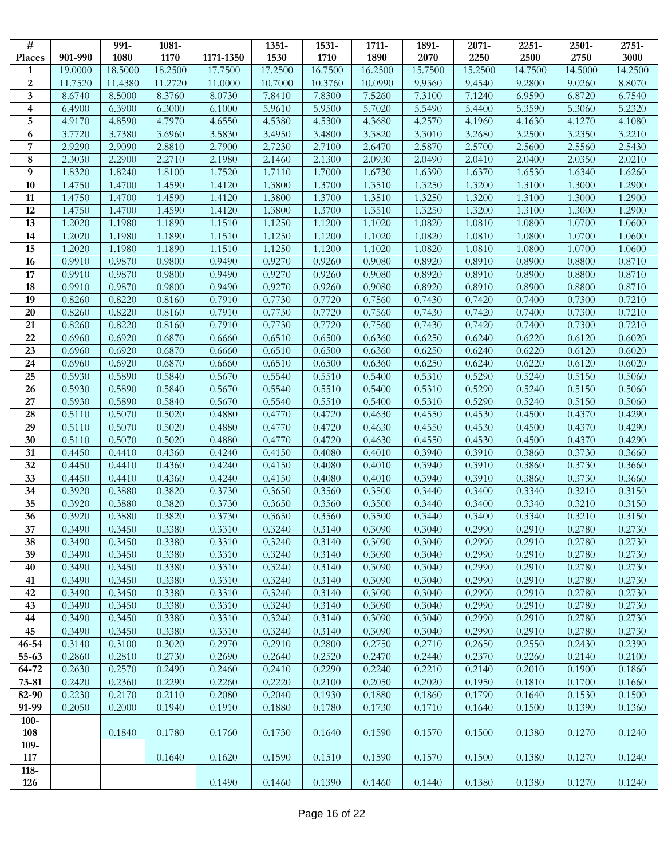| $\overline{\#}$              |                  | 991-             | 1081-            |                  | 1351-            | 1531-            | 1711-            | 1891-            | 2071-            | 2251-            | 2501-            | 2751-            |
|------------------------------|------------------|------------------|------------------|------------------|------------------|------------------|------------------|------------------|------------------|------------------|------------------|------------------|
| Places                       | 901-990          | 1080             | 1170             | 1171-1350        | 1530             | 1710             | 1890             | 2070             | 2250             | 2500             | 2750             | 3000             |
| $\mathbf{1}$                 | 19.0000          | 18.5000          | 18.2500          | 17.7500          | 17.2500          | 16.7500          | 16.2500          | 15.7500          | 15.2500          | 14.7500          | 14.5000          | 14.2500          |
| $\boldsymbol{2}$             | 11.7520          | 11.4380          | 11.2720          | 11.0000          | 10.7000          | 10.3760          | 10.0990          | 9.9360           | 9.4540           | 9.2800           | 9.0260           | 8.8070           |
| $\mathbf{3}$                 | 8.6740           | 8.5000           | 8.3760           | 8.0730           | 7.8410           | 7.8300           | 7.5260           | 7.3100           | 7.1240           | 6.9590           | 6.8720           | 6.7540           |
| $\overline{\mathbf{4}}$<br>5 | 6.4900<br>4.9170 | 6.3900<br>4.8590 | 6.3000<br>4.7970 | 6.1000<br>4.6550 | 5.9610<br>4.5380 | 5.9500<br>4.5300 | 5.7020<br>4.3680 | 5.5490<br>4.2570 | 5.4400<br>4.1960 | 5.3590<br>4.1630 | 5.3060<br>4.1270 | 5.2320<br>4.1080 |
| 6                            | 3.7720           | 3.7380           | 3.6960           | 3.5830           | 3.4950           | 3.4800           | 3.3820           | 3.3010           | 3.2680           | 3.2500           | 3.2350           | 3.2210           |
| $\overline{7}$               | 2.9290           | 2.9090           | 2.8810           | 2.7900           | 2.7230           | 2.7100           | 2.6470           | 2.5870           | 2.5700           | 2.5600           | 2.5560           | 2.5430           |
| $\bf 8$                      | 2.3030           | 2.2900           | 2.2710           | 2.1980           | 2.1460           | 2.1300           | 2.0930           | 2.0490           | 2.0410           | 2.0400           | 2.0350           | 2.0210           |
| 9                            | 1.8320           | 1.8240           | 1.8100           | 1.7520           | 1.7110           | 1.7000           | 1.6730           | 1.6390           | 1.6370           | 1.6530           | 1.6340           | 1.6260           |
| 10                           | 1.4750           | 1.4700           | 1.4590           | 1.4120           | 1.3800           | 1.3700           | 1.3510           | 1.3250           | 1.3200           | 1.3100           | 1.3000           | 1.2900           |
| 11                           | 1.4750           | 1.4700           | 1.4590           | 1.4120           | 1.3800           | 1.3700           | 1.3510           | 1.3250           | 1.3200           | 1.3100           | 1.3000           | 1.2900           |
| 12                           | 1.4750           | 1.4700           | 1.4590           | 1.4120           | 1.3800           | 1.3700           | 1.3510           | 1.3250           | 1.3200           | 1.3100           | 1.3000           | 1.2900           |
| 13                           | 1.2020           | 1.1980           | 1.1890           | 1.1510           | 1.1250           | 1.1200           | 1.1020           | 1.0820           | 1.0810           | 1.0800           | 1.0700           | 1.0600           |
| 14                           | 1.2020           | 1.1980           | 1.1890           | 1.1510           | 1.1250           | 1.1200           | 1.1020           | 1.0820           | 1.0810           | 1.0800           | 1.0700           | 1.0600           |
| 15                           | 1.2020           | 1.1980           | 1.1890           | 1.1510           | 1.1250           | 1.1200           | 1.1020           | 1.0820           | 1.0810           | 1.0800           | 1.0700           | 1.0600           |
| 16                           | 0.9910           | 0.9870           | 0.9800           | 0.9490           | 0.9270           | 0.9260           | 0.9080           | 0.8920           | 0.8910           | 0.8900           | 0.8800           | 0.8710           |
| 17                           | 0.9910           | 0.9870           | 0.9800           | 0.9490           | 0.9270           | 0.9260           | 0.9080           | 0.8920           | 0.8910           | 0.8900           | 0.8800           | 0.8710           |
| 18                           | 0.9910           | 0.9870           | 0.9800           | 0.9490           | 0.9270           | 0.9260           | 0.9080           | 0.8920           | 0.8910           | 0.8900           | 0.8800           | 0.8710           |
| 19                           | 0.8260           | 0.8220           | 0.8160           | 0.7910           | 0.7730           | 0.7720           | 0.7560           | 0.7430           | 0.7420           | 0.7400           | 0.7300           | 0.7210           |
| 20                           | 0.8260           | 0.8220           | 0.8160           | 0.7910           | 0.7730           | 0.7720           | 0.7560           | 0.7430           | 0.7420           | 0.7400           | 0.7300           | 0.7210           |
| 21                           | 0.8260           | 0.8220           | 0.8160           | 0.7910           | 0.7730           | 0.7720           | 0.7560           | 0.7430           | 0.7420           | 0.7400           | 0.7300           | 0.7210           |
| 22                           | 0.6960           | 0.6920           | 0.6870           | 0.6660           | 0.6510           | 0.6500           | 0.6360           | 0.6250           | 0.6240           | 0.6220           | 0.6120           | 0.6020           |
| 23                           | 0.6960           | 0.6920           | 0.6870           | 0.6660           | 0.6510           | 0.6500           | 0.6360           | 0.6250           | 0.6240           | 0.6220           | 0.6120           | 0.6020           |
| 24                           | 0.6960           | 0.6920           | 0.6870           | 0.6660           | 0.6510           | 0.6500           | 0.6360           | 0.6250           | 0.6240           | 0.6220           | 0.6120           | 0.6020           |
| 25                           | 0.5930           | 0.5890           | 0.5840           | 0.5670           | 0.5540           | 0.5510           | 0.5400           | 0.5310           | 0.5290           | 0.5240           | 0.5150           | 0.5060           |
| 26                           | 0.5930           | 0.5890           | 0.5840           | 0.5670           | 0.5540           | 0.5510           | 0.5400           | 0.5310           | 0.5290           | 0.5240           | 0.5150           | 0.5060           |
| 27<br>28                     | 0.5930<br>0.5110 | 0.5890<br>0.5070 | 0.5840           | 0.5670           | 0.5540           | 0.5510           | 0.5400           | 0.5310           | 0.5290           | 0.5240           | 0.5150           | 0.5060           |
| 29                           | 0.5110           | 0.5070           | 0.5020<br>0.5020 | 0.4880<br>0.4880 | 0.4770<br>0.4770 | 0.4720<br>0.4720 | 0.4630<br>0.4630 | 0.4550<br>0.4550 | 0.4530<br>0.4530 | 0.4500<br>0.4500 | 0.4370<br>0.4370 | 0.4290<br>0.4290 |
| 30                           | 0.5110           | 0.5070           | 0.5020           | 0.4880           | 0.4770           | 0.4720           | 0.4630           | 0.4550           | 0.4530           | 0.4500           | 0.4370           | 0.4290           |
| 31                           | 0.4450           | 0.4410           | 0.4360           | 0.4240           | 0.4150           | 0.4080           | 0.4010           | 0.3940           | 0.3910           | 0.3860           | 0.3730           | 0.3660           |
| 32                           | 0.4450           | 0.4410           | 0.4360           | 0.4240           | 0.4150           | 0.4080           | 0.4010           | 0.3940           | 0.3910           | 0.3860           | 0.3730           | 0.3660           |
| 33                           | 0.4450           | 0.4410           | 0.4360           | 0.4240           | 0.4150           | 0.4080           | 0.4010           | 0.3940           | 0.3910           | 0.3860           | 0.3730           | 0.3660           |
| 34                           | 0.3920           | 0.3880           | 0.3820           | 0.3730           | 0.3650           | 0.3560           | 0.3500           | 0.3440           | 0.3400           | 0.3340           | 0.3210           | 0.3150           |
| 35                           | 0.3920           | 0.3880           | 0.3820           | 0.3730           | 0.3650           | 0.3560           | 0.3500           | 0.3440           | 0.3400           | 0.3340           | 0.3210           | 0.3150           |
| 36                           | 0.3920           | 0.3880           | 0.3820           | 0.3730           | 0.3650           | 0.3560           | 0.3500           | 0.3440           | 0.3400           | 0.3340           | 0.3210           | 0.3150           |
| 37                           | 0.3490           | 0.3450           | 0.3380           | 0.3310           | 0.3240           | 0.3140           | 0.3090           | 0.3040           | 0.2990           | 0.2910           | 0.2780           | 0.2730           |
| 38                           | 0.3490           | 0.3450           | 0.3380           | 0.3310           | 0.3240           | 0.3140           | 0.3090           | 0.3040           | 0.2990           | 0.2910           | 0.2780           | 0.2730           |
| 39                           | 0.3490           | 0.3450           | 0.3380           | 0.3310           | 0.3240           | 0.3140           | 0.3090           | 0.3040           | 0.2990           | 0.2910           | 0.2780           | 0.2730           |
| 40                           | 0.3490           | 0.3450           | 0.3380           | 0.3310           | 0.3240           | 0.3140           | 0.3090           | 0.3040           | 0.2990           | 0.2910           | 0.2780           | 0.2730           |
| 41                           | 0.3490           | 0.3450           | 0.3380           | 0.3310           | 0.3240           | 0.3140           | 0.3090           | 0.3040           | 0.2990           | 0.2910           | 0.2780           | 0.2730           |
| 42                           | 0.3490           | 0.3450           | 0.3380           | 0.3310           | 0.3240           | 0.3140           | 0.3090           | 0.3040           | 0.2990           | 0.2910           | 0.2780           | 0.2730           |
| 43                           | 0.3490           | 0.3450           | 0.3380           | 0.3310           | 0.3240           | 0.3140           | 0.3090           | 0.3040           | 0.2990           | 0.2910           | 0.2780           | 0.2730           |
| 44                           | 0.3490           | 0.3450           | 0.3380           | 0.3310           | 0.3240           | 0.3140           | 0.3090           | 0.3040           | 0.2990           | 0.2910           | 0.2780           | 0.2730           |
| 45                           | 0.3490           | 0.3450           | 0.3380           | 0.3310           | 0.3240           | 0.3140           | 0.3090           | 0.3040           | 0.2990           | 0.2910           | 0.2780           | 0.2730           |
| $46 - 54$                    | 0.3140           | 0.3100           | 0.3020           | 0.2970           | 0.2910           | 0.2800           | 0.2750           | 0.2710           | 0.2650           | 0.2550           | 0.2430           | 0.2390           |
| 55-63<br>64-72               | 0.2860<br>0.2630 | 0.2810<br>0.2570 | 0.2730<br>0.2490 | 0.2690<br>0.2460 | 0.2640<br>0.2410 | 0.2520<br>0.2290 | 0.2470<br>0.2240 | 0.2440<br>0.2210 | 0.2370<br>0.2140 | 0.2260<br>0.2010 | 0.2140<br>0.1900 | 0.2100<br>0.1860 |
| $73 - 81$                    | 0.2420           | 0.2360           | 0.2290           | 0.2260           | 0.2220           | 0.2100           | 0.2050           | 0.2020           | 0.1950           | 0.1810           | 0.1700           | 0.1660           |
| 82-90                        | 0.2230           | 0.2170           | 0.2110           | 0.2080           | 0.2040           | 0.1930           | 0.1880           | 0.1860           | 0.1790           | 0.1640           | 0.1530           | 0.1500           |
| 91-99                        | 0.2050           | 0.2000           | 0.1940           | 0.1910           | 0.1880           | 0.1780           | 0.1730           | 0.1710           | 0.1640           | 0.1500           | 0.1390           | 0.1360           |
| $100 -$                      |                  |                  |                  |                  |                  |                  |                  |                  |                  |                  |                  |                  |
| 108                          |                  | 0.1840           | 0.1780           | 0.1760           | 0.1730           | 0.1640           | 0.1590           | 0.1570           | 0.1500           | 0.1380           | 0.1270           | 0.1240           |
| 109-                         |                  |                  |                  |                  |                  |                  |                  |                  |                  |                  |                  |                  |
| 117                          |                  |                  | 0.1640           | 0.1620           | 0.1590           | 0.1510           | 0.1590           | 0.1570           | 0.1500           | 0.1380           | 0.1270           | 0.1240           |
| $118 -$                      |                  |                  |                  |                  |                  |                  |                  |                  |                  |                  |                  |                  |
| 126                          |                  |                  |                  | 0.1490           | 0.1460           | 0.1390           | 0.1460           | 0.1440           | 0.1380           | 0.1380           | 0.1270           | 0.1240           |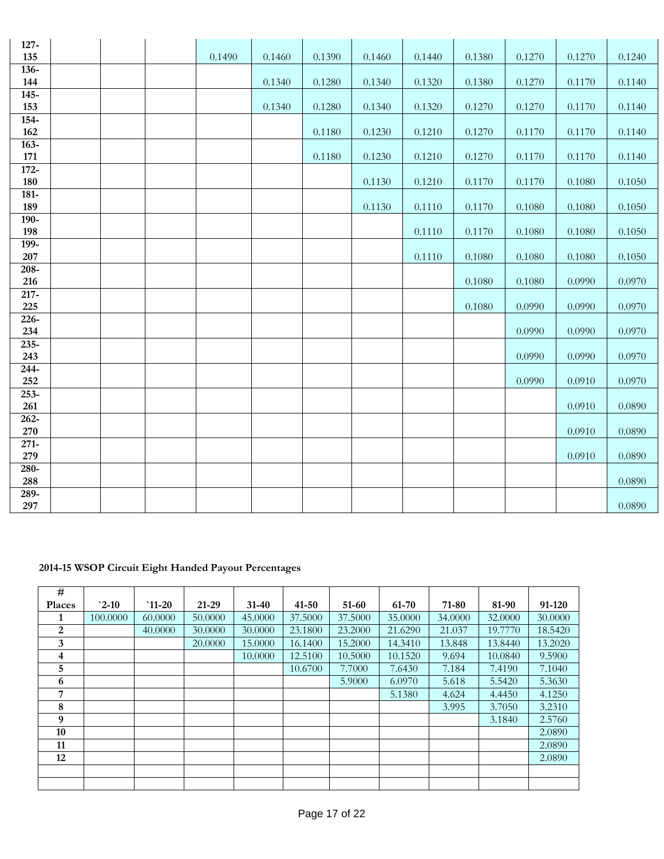| $127 -$        |  |        |        |        |        |        |        |        |        |        |
|----------------|--|--------|--------|--------|--------|--------|--------|--------|--------|--------|
| 135            |  | 0.1490 | 0.1460 | 0.1390 | 0.1460 | 0.1440 | 0.1380 | 0.1270 | 0.1270 | 0.1240 |
| $136 -$<br>144 |  |        | 0.1340 | 0.1280 | 0.1340 | 0.1320 | 0.1380 | 0.1270 | 0.1170 | 0.1140 |
| $145 -$        |  |        |        |        |        |        |        |        |        |        |
| 153            |  |        | 0.1340 | 0.1280 | 0.1340 | 0.1320 | 0.1270 | 0.1270 | 0.1170 | 0.1140 |
| 154-           |  |        |        |        |        |        |        |        |        |        |
| 162            |  |        |        | 0.1180 | 0.1230 | 0.1210 | 0.1270 | 0.1170 | 0.1170 | 0.1140 |
| $163 -$        |  |        |        |        |        |        |        |        |        |        |
| 171            |  |        |        | 0.1180 | 0.1230 | 0.1210 | 0.1270 | 0.1170 | 0.1170 | 0.1140 |
| $172 -$        |  |        |        |        |        |        |        |        |        |        |
| 180            |  |        |        |        | 0.1130 | 0.1210 | 0.1170 | 0.1170 | 0.1080 | 0.1050 |
| 181-           |  |        |        |        |        |        |        |        |        |        |
| 189            |  |        |        |        | 0.1130 | 0.1110 | 0.1170 | 0.1080 | 0.1080 | 0.1050 |
| $190 -$        |  |        |        |        |        |        |        |        |        |        |
| 198            |  |        |        |        |        | 0.1110 | 0.1170 | 0.1080 | 0.1080 | 0.1050 |
| 199-           |  |        |        |        |        |        |        |        |        |        |
| 207            |  |        |        |        |        | 0.1110 | 0.1080 | 0.1080 | 0.1080 | 0.1050 |
| 208-           |  |        |        |        |        |        |        |        |        |        |
| 216            |  |        |        |        |        |        | 0.1080 | 0.1080 | 0.0990 | 0.0970 |
| $217 -$        |  |        |        |        |        |        |        |        |        |        |
| 225            |  |        |        |        |        |        | 0.1080 | 0.0990 | 0.0990 | 0.0970 |
| 226-           |  |        |        |        |        |        |        |        |        |        |
| 234            |  |        |        |        |        |        |        | 0.0990 | 0.0990 | 0.0970 |
| 235-           |  |        |        |        |        |        |        |        |        |        |
| 243            |  |        |        |        |        |        |        | 0.0990 | 0.0990 | 0.0970 |
| $244 -$        |  |        |        |        |        |        |        |        |        |        |
| 252            |  |        |        |        |        |        |        | 0.0990 | 0.0910 | 0.0970 |
| 253-           |  |        |        |        |        |        |        |        |        |        |
| 261            |  |        |        |        |        |        |        |        | 0.0910 | 0.0890 |
| 262-           |  |        |        |        |        |        |        |        |        |        |
| 270            |  |        |        |        |        |        |        |        | 0.0910 | 0.0890 |
| $271-$<br>279  |  |        |        |        |        |        |        |        | 0.0910 | 0.0890 |
| $280 -$        |  |        |        |        |        |        |        |        |        |        |
| 288            |  |        |        |        |        |        |        |        |        | 0.0890 |
| $289-$         |  |        |        |        |        |        |        |        |        |        |
| 297            |  |        |        |        |        |        |        |        |        | 0.0890 |

### **2014-15 WSOP Circuit Eight Handed Payout Percentages**

| #             |          |         |         |           |           |         |         |         |         |         |
|---------------|----------|---------|---------|-----------|-----------|---------|---------|---------|---------|---------|
| <b>Places</b> | $2-10$   | $11-20$ | 21-29   | $31 - 40$ | $41 - 50$ | 51-60   | 61-70   | 71-80   | 81-90   | 91-120  |
| 1             | 100.0000 | 60,0000 | 50,0000 | 45,0000   | 37.5000   | 37.5000 | 35,0000 | 34.0000 | 32.0000 | 30,0000 |
| 2             |          | 40,0000 | 30,0000 | 30.0000   | 23.1800   | 23.2000 | 21.6290 | 21.037  | 19.7770 | 18.5420 |
| 3             |          |         | 20,0000 | 15.0000   | 16.1400   | 15.2000 | 14.3410 | 13.848  | 13.8440 | 13.2020 |
| 4             |          |         |         | 10.0000   | 12.5100   | 10.5000 | 10.1520 | 9.694   | 10.0840 | 9.5900  |
| 5             |          |         |         |           | 10.6700   | 7.7000  | 7.6430  | 7.184   | 7.4190  | 7.1040  |
| 6             |          |         |         |           |           | 5.9000  | 6.0970  | 5.618   | 5.5420  | 5.3630  |
| 7             |          |         |         |           |           |         | 5.1380  | 4.624   | 4.4450  | 4.1250  |
| 8             |          |         |         |           |           |         |         | 3.995   | 3.7050  | 3.2310  |
| 9             |          |         |         |           |           |         |         |         | 3.1840  | 2.5760  |
| 10            |          |         |         |           |           |         |         |         |         | 2.0890  |
| 11            |          |         |         |           |           |         |         |         |         | 2.0890  |
| 12            |          |         |         |           |           |         |         |         |         | 2.0890  |
|               |          |         |         |           |           |         |         |         |         |         |
|               |          |         |         |           |           |         |         |         |         |         |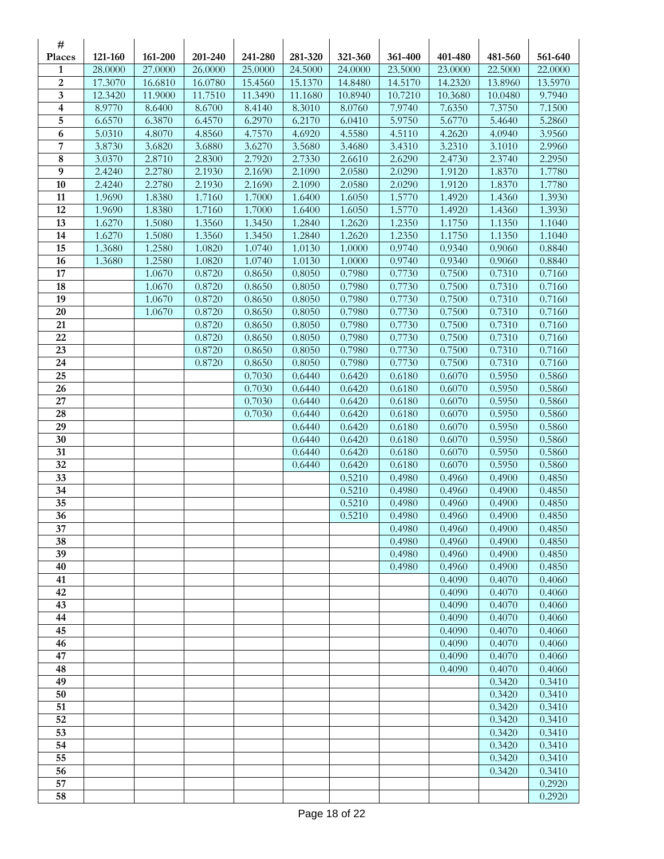| #                       |                  |                  |                   |                   |                   |                  |                   |                   |                   |                  |
|-------------------------|------------------|------------------|-------------------|-------------------|-------------------|------------------|-------------------|-------------------|-------------------|------------------|
| Places                  | 121-160          | 161-200          | 201-240           | 241-280           | 281-320           | 321-360          | 361-400           | 401-480           | 481-560           | 561-640          |
| 1                       | 28.0000          | 27.0000          | 26.0000           | 25.0000           | 24.5000           | 24.0000          | 23.5000           | 23.0000           | 22.5000           | 22.0000          |
| $\overline{2}$<br>3     | 17.3070          | 16.6810          | 16.0780           | 15.4560           | 15.1370           | 14.8480          | 14.5170           | 14.2320           | 13.8960           | 13.5970          |
| $\overline{\mathbf{4}}$ | 12.3420          | 11.9000          | 11.7510<br>8.6700 | 11.3490<br>8.4140 | 11.1680<br>8.3010 | 10.8940          | 10.7210<br>7.9740 | 10.3680<br>7.6350 | 10.0480<br>7.3750 | 9.7940<br>7.1500 |
| 5                       | 8.9770<br>6.6570 | 8.6400<br>6.3870 | 6.4570            | 6.2970            | 6.2170            | 8.0760<br>6.0410 | 5.9750            | 5.6770            | 5.4640            | 5.2860           |
| $\boldsymbol{6}$        | 5.0310           | 4.8070           | 4.8560            | 4.7570            | 4.6920            | 4.5580           | 4.5110            | 4.2620            | 4.0940            | 3.9560           |
| 7                       | 3.8730           | 3.6820           | 3.6880            | 3.6270            | 3.5680            | 3.4680           | 3.4310            | 3.2310            | 3.1010            | 2.9960           |
| 8                       | 3.0370           | 2.8710           | 2.8300            | 2.7920            | 2.7330            | 2.6610           | 2.6290            | 2.4730            | 2.3740            | 2.2950           |
| 9                       | 2.4240           | 2.2780           | 2.1930            | 2.1690            | 2.1090            | 2.0580           | 2.0290            | 1.9120            | 1.8370            | 1.7780           |
| 10                      | 2.4240           | 2.2780           | 2.1930            | 2.1690            | 2.1090            | 2.0580           | 2.0290            | 1.9120            | 1.8370            | 1.7780           |
| 11                      | 1.9690           | 1.8380           | 1.7160            | 1.7000            | 1.6400            | 1.6050           | 1.5770            | 1.4920            | 1.4360            | 1.3930           |
| 12                      | 1.9690           | 1.8380           | 1.7160            | 1.7000            | 1.6400            | 1.6050           | 1.5770            | 1.4920            | 1.4360            | 1.3930           |
| 13                      | 1.6270           | 1.5080           | 1.3560            | 1.3450            | 1.2840            | 1.2620           | 1.2350            | 1.1750            | 1.1350            | 1.1040           |
| 14                      | 1.6270           | 1.5080           | 1.3560            | 1.3450            | 1.2840            | 1.2620           | 1.2350            | 1.1750            | 1.1350            | 1.1040           |
| 15                      | 1.3680           | 1.2580           | 1.0820            | 1.0740            | 1.0130            | 1.0000           | 0.9740            | 0.9340            | 0.9060            | 0.8840           |
| 16                      | 1.3680           | 1.2580           | 1.0820            | 1.0740            | 1.0130            | 1.0000           | 0.9740            | 0.9340            | 0.9060            | 0.8840           |
| 17                      |                  | 1.0670           | 0.8720            | 0.8650            | 0.8050            | 0.7980           | 0.7730            | 0.7500            | 0.7310            | 0.7160           |
| 18                      |                  | 1.0670           | 0.8720            | 0.8650            | 0.8050            | 0.7980           | 0.7730            | 0.7500            | 0.7310            | 0.7160           |
| 19                      |                  | 1.0670           | 0.8720            | 0.8650            | 0.8050            | 0.7980           | 0.7730            | 0.7500            | 0.7310            | 0.7160           |
| 20                      |                  | 1.0670           | 0.8720            | 0.8650            | 0.8050            | 0.7980           | 0.7730            | 0.7500            | 0.7310            | 0.7160           |
| 21                      |                  |                  | 0.8720            | 0.8650            | 0.8050            | 0.7980           | 0.7730            | 0.7500            | 0.7310            | 0.7160           |
| 22                      |                  |                  | 0.8720            | 0.8650            | 0.8050            | 0.7980           | 0.7730            | 0.7500            | 0.7310            | 0.7160           |
| 23                      |                  |                  | 0.8720            | 0.8650            | 0.8050            | 0.7980           | 0.7730            | 0.7500            | 0.7310            | 0.7160           |
| 24                      |                  |                  | 0.8720            | 0.8650            | 0.8050            | 0.7980           | 0.7730            | 0.7500            | 0.7310            | 0.7160           |
| 25                      |                  |                  |                   | 0.7030            | 0.6440            | 0.6420           | 0.6180            | 0.6070            | 0.5950            | 0.5860           |
| 26                      |                  |                  |                   | 0.7030            | 0.6440            | 0.6420           | 0.6180            | 0.6070            | 0.5950            | 0.5860           |
| 27                      |                  |                  |                   | 0.7030            | 0.6440            | 0.6420           | 0.6180            | 0.6070            | 0.5950            | 0.5860           |
| 28                      |                  |                  |                   | 0.7030            | 0.6440            | 0.6420           | 0.6180            | 0.6070            | 0.5950            | 0.5860           |
| 29                      |                  |                  |                   |                   | 0.6440            | 0.6420           | 0.6180            | 0.6070            | 0.5950            | 0.5860           |
| 30                      |                  |                  |                   |                   | 0.6440            | 0.6420           | 0.6180            | 0.6070            | 0.5950            | 0.5860           |
| 31                      |                  |                  |                   |                   | 0.6440            | 0.6420           | 0.6180            | 0.6070            | 0.5950            | 0.5860           |
| 32                      |                  |                  |                   |                   | 0.6440            | 0.6420           | 0.6180            | 0.6070            | 0.5950            | 0.5860           |
| 33                      |                  |                  |                   |                   |                   | 0.5210           | 0.4980            | 0.4960            | 0.4900            | 0.4850           |
| 34                      |                  |                  |                   |                   |                   | 0.5210           | 0.4980            | 0.4960            | 0.4900            | 0.4850           |
| 35<br>36                |                  |                  |                   |                   |                   | 0.5210<br>0.5210 | 0.4980<br>0.4980  | 0.4960<br>0.4960  | 0.4900<br>0.4900  | 0.4850<br>0.4850 |
| 37                      |                  |                  |                   |                   |                   |                  | 0.4980            | 0.4960            | 0.4900            | 0.4850           |
| 38                      |                  |                  |                   |                   |                   |                  | 0.4980            | 0.4960            | 0.4900            | 0.4850           |
| 39                      |                  |                  |                   |                   |                   |                  | 0.4980            | 0.4960            | 0.4900            | 0.4850           |
| 40                      |                  |                  |                   |                   |                   |                  | 0.4980            | 0.4960            | 0.4900            | 0.4850           |
| 41                      |                  |                  |                   |                   |                   |                  |                   | 0.4090            | 0.4070            | 0.4060           |
| 42                      |                  |                  |                   |                   |                   |                  |                   | 0.4090            | 0.4070            | 0.4060           |
| 43                      |                  |                  |                   |                   |                   |                  |                   | 0.4090            | 0.4070            | 0.4060           |
| 44                      |                  |                  |                   |                   |                   |                  |                   | 0.4090            | 0.4070            | 0.4060           |
| 45                      |                  |                  |                   |                   |                   |                  |                   | 0.4090            | 0.4070            | 0.4060           |
| 46                      |                  |                  |                   |                   |                   |                  |                   | 0.4090            | 0.4070            | 0.4060           |
| 47                      |                  |                  |                   |                   |                   |                  |                   | 0.4090            | 0.4070            | 0.4060           |
| 48                      |                  |                  |                   |                   |                   |                  |                   | 0.4090            | 0.4070            | 0.4060           |
| 49                      |                  |                  |                   |                   |                   |                  |                   |                   | 0.3420            | 0.3410           |
| 50                      |                  |                  |                   |                   |                   |                  |                   |                   | 0.3420            | 0.3410           |
| 51                      |                  |                  |                   |                   |                   |                  |                   |                   | 0.3420            | 0.3410           |
| 52                      |                  |                  |                   |                   |                   |                  |                   |                   | 0.3420            | 0.3410           |
| 53                      |                  |                  |                   |                   |                   |                  |                   |                   | 0.3420            | 0.3410           |
| $\overline{54}$         |                  |                  |                   |                   |                   |                  |                   |                   | 0.3420            | 0.3410           |
| $\overline{55}$         |                  |                  |                   |                   |                   |                  |                   |                   | 0.3420            | 0.3410           |
| 56                      |                  |                  |                   |                   |                   |                  |                   |                   | 0.3420            | 0.3410           |
| 57                      |                  |                  |                   |                   |                   |                  |                   |                   |                   | 0.2920           |
| 58                      |                  |                  |                   |                   |                   |                  |                   |                   |                   | 0.2920           |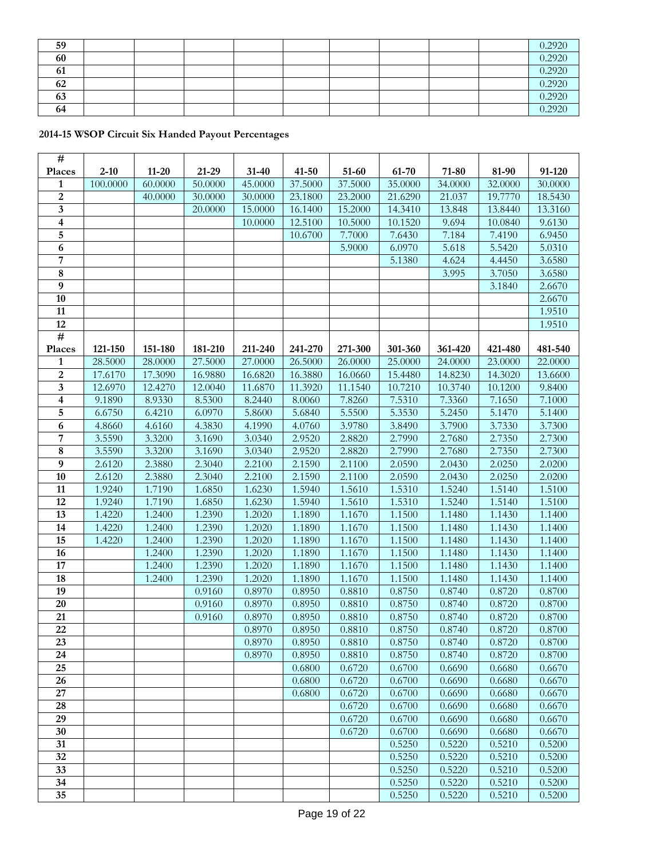| 59 |  |  |  |  | 0.2920 |
|----|--|--|--|--|--------|
| 60 |  |  |  |  | 0.2920 |
| 61 |  |  |  |  | 0.2920 |
| 62 |  |  |  |  | 0.2920 |
| 63 |  |  |  |  | 0.2920 |
| 64 |  |  |  |  | 0.2920 |

## **2014-15 WSOP Circuit Six Handed Payout Percentages**

| $\mathbf{1}$<br>100.0000<br>60.0000<br>50.0000<br>45.0000<br>37.5000<br>37.5000<br>35.0000<br>34.0000<br>32.0000<br>30.0000<br>$\overline{2}$<br>19.7770<br>40.0000<br>30.0000<br>30.0000<br>23.1800<br>23.2000<br>21.6290<br>21.037<br>18.5430<br>3<br>15.0000<br>16.1400<br>15.2000<br>14.3410<br>13.848<br>13.8440<br>13.3160<br>20.0000<br>4<br>12.5100<br>10.5000<br>10.1520<br>9.694<br>10.0840<br>9.6130<br>10.0000<br>5<br>7.7000<br>7.6430<br>7.184<br>7.4190<br>6.9450<br>10.6700<br>6<br>6.0970<br>5.618<br>5.0310<br>5.9000<br>5.5420<br>7<br>4.624<br>3.6580<br>5.1380<br>4.4450<br>$\overline{\mathbf{8}}$<br>3.7050<br>3.6580<br>3.995<br>$\overline{9}$<br>2.6670<br>3.1840<br>10<br>2.6670<br>11<br>1.9510<br>12<br>1.9510<br>#<br>121-150<br>151-180<br>181-210<br>211-240<br>241-270<br>271-300<br>301-360<br>361-420<br>421-480<br>481-540<br>Places<br>$\mathbf{1}$<br>26.5000<br>28.5000<br>28.0000<br>27.5000<br>27.0000<br>26.0000<br>25.0000<br>24.0000<br>23.0000<br>22.0000<br>$\overline{2}$<br>17.3090<br>17.6170<br>16.9880<br>16.6820<br>16.3880<br>15.4480<br>14.8230<br>13.6600<br>16.0660<br>14.3020<br>$\overline{\mathbf{3}}$<br>12.4270<br>10.7210<br>12.6970<br>12.0040<br>11.6870<br>11.3920<br>11.1540<br>10.3740<br>10.1200<br>9.8400<br>4<br>7.8260<br>7.5310<br>7.1650<br>9.1890<br>8.9330<br>8.5300<br>8.2440<br>7.3360<br>7.1000<br>8.0060<br>5<br>6.6750<br>6.4210<br>6.0970<br>5.6840<br>5.5500<br>5.3530<br>5.2450<br>5.8600<br>5.1470<br>5.1400<br>6<br>4.1990<br>3.9780<br>3.7900<br>3.7330<br>3.7300<br>4.8660<br>4.6160<br>4.3830<br>4.0760<br>3.8490<br>7<br>3.5590<br>3.3200<br>3.0340<br>2.9520<br>2.8820<br>2.7990<br>2.7680<br>2.7350<br>2.7300<br>3.1690<br>8<br>3.5590<br>3.3200<br>3.0340<br>2.9520<br>2.8820<br>2.7990<br>2.7680<br>2.7350<br>2.7300<br>3.1690<br>9<br>2.6120<br>2.3880<br>2.3040<br>2.2100<br>2.1590<br>2.1100<br>2.0590<br>2.0430<br>2.0250<br>2.0200<br>10<br>2.6120<br>2.3880<br>2.3040<br>2.2100<br>2.1590<br>2.1100<br>2.0590<br>2.0430<br>2.0250<br>2.0200<br>1.5610<br>1.5310<br>1.5240<br>1.5140<br>1.5100<br>11<br>1.9240<br>1.7190<br>1.6850<br>1.6230<br>1.5940<br>12<br>1.7190<br>1.5940<br>1.5610<br>1.5310<br>1.5240<br>1.5140<br>1.5100<br>1.9240<br>1.6850<br>1.6230<br>13<br>1.4220<br>1.2400<br>1.2390<br>1.2020<br>1.1890<br>1.1670<br>1.1500<br>1.1480<br>1.1430<br>1.1400<br>14<br>1.2400<br>1.2390<br>1.2020<br>1.4220<br>1.1890<br>1.1670<br>1.1500<br>1.1480<br>1.1430<br>1.1400<br>15<br>1.2400<br>1.2390<br>1.2020<br>1.1890<br>1.1670<br>1.1500<br>1.1480<br>1.1430<br>1.1400<br>1.4220<br>16<br>1.2390<br>1.2400<br>1.2020<br>1.1890<br>1.1670<br>1.1500<br>1.1480<br>1.1430<br>1.1400<br>17<br>1.2390<br>1.2400<br>1.2020<br>1.1890<br>1.1670<br>1.1500<br>1.1480<br>1.1430<br>1.1400<br>18<br>1.2390<br>1.2020<br>1.1890<br>1.1670<br>1.1500<br>1.1480<br>1.1430<br>1.2400<br>1.1400<br>19<br>0.9160<br>0.8970<br>0.8950<br>0.8750<br>0.8740<br>0.8720<br>0.8810<br>0.8700<br>$20\,$<br>0.8970<br>0.8950<br>0.9160<br>0.8810<br>0.8750<br>0.8740<br>0.8720<br>0.8700<br>21<br>0.8970<br>0.8950<br>0.8750<br>0.8740<br>0.8720<br>0.8700<br>0.9160<br>0.8810<br>22<br>0.8970<br>0.8950<br>0.8810<br>0.8750<br>0.8740<br>0.8720<br>0.8700<br>$\overline{23}$<br>0.8750<br>0.8740<br>0.8720<br>0.8700<br>0.8970<br>0.8950<br>0.8810<br>24<br>0.8970<br>0.8950<br>0.8810<br>0.8750<br>0.8740<br>0.8720<br>0.8700<br>25<br>0.6800<br>0.6720<br>0.6700<br>0.6690<br>0.6680<br>0.6670<br>26<br>0.6700<br>0.6680<br>0.6670<br>0.6800<br>0.6720<br>0.6690<br>27<br>0.6800<br>0.6720<br>0.6700<br>0.6690<br>0.6680<br>0.6670<br>28<br>0.6720<br>0.6670<br>0.6700<br>0.6690<br>0.6680<br>29<br>0.6720<br>0.6670<br>0.6700<br>0.6690<br>0.6680<br>30<br>0.6720<br>0.6700<br>0.6690<br>0.6680<br>0.6670<br>31<br>0.5250<br>0.5220<br>0.5210<br>0.5200<br>32<br>0.5250<br>0.5220<br>0.5210<br>0.5200<br>33<br>0.5250<br>0.5220<br>0.5210<br>0.5200<br>34<br>0.5250<br>0.5210<br>0.5200<br>0.5220<br>35<br>0.5250<br>0.5210<br>0.5200<br>0.5220 | #      |          |           |       |           |           |       |       |       |       |        |
|---------------------------------------------------------------------------------------------------------------------------------------------------------------------------------------------------------------------------------------------------------------------------------------------------------------------------------------------------------------------------------------------------------------------------------------------------------------------------------------------------------------------------------------------------------------------------------------------------------------------------------------------------------------------------------------------------------------------------------------------------------------------------------------------------------------------------------------------------------------------------------------------------------------------------------------------------------------------------------------------------------------------------------------------------------------------------------------------------------------------------------------------------------------------------------------------------------------------------------------------------------------------------------------------------------------------------------------------------------------------------------------------------------------------------------------------------------------------------------------------------------------------------------------------------------------------------------------------------------------------------------------------------------------------------------------------------------------------------------------------------------------------------------------------------------------------------------------------------------------------------------------------------------------------------------------------------------------------------------------------------------------------------------------------------------------------------------------------------------------------------------------------------------------------------------------------------------------------------------------------------------------------------------------------------------------------------------------------------------------------------------------------------------------------------------------------------------------------------------------------------------------------------------------------------------------------------------------------------------------------------------------------------------------------------------------------------------------------------------------------------------------------------------------------------------------------------------------------------------------------------------------------------------------------------------------------------------------------------------------------------------------------------------------------------------------------------------------------------------------------------------------------------------------------------------------------------------------------------------------------------------------------------------------------------------------------------------------------------------------------------------------------------------------------------------------------------------------------------------------------------------------------------------------------------------------------------------------------------------------------------------------------------------------------------------------------------------------------------------------------------------------------------------------------------------------------------------------------------------------------------------------------------------------------------------------------------------------------------------------------------------------------------------------------|--------|----------|-----------|-------|-----------|-----------|-------|-------|-------|-------|--------|
|                                                                                                                                                                                                                                                                                                                                                                                                                                                                                                                                                                                                                                                                                                                                                                                                                                                                                                                                                                                                                                                                                                                                                                                                                                                                                                                                                                                                                                                                                                                                                                                                                                                                                                                                                                                                                                                                                                                                                                                                                                                                                                                                                                                                                                                                                                                                                                                                                                                                                                                                                                                                                                                                                                                                                                                                                                                                                                                                                                                                                                                                                                                                                                                                                                                                                                                                                                                                                                                                                                                                                                                                                                                                                                                                                                                                                                                                                                                                                                                                                                             | Places | $2 - 10$ | $11 - 20$ | 21-29 | $31 - 40$ | $41 - 50$ | 51-60 | 61-70 | 71-80 | 81-90 | 91-120 |
|                                                                                                                                                                                                                                                                                                                                                                                                                                                                                                                                                                                                                                                                                                                                                                                                                                                                                                                                                                                                                                                                                                                                                                                                                                                                                                                                                                                                                                                                                                                                                                                                                                                                                                                                                                                                                                                                                                                                                                                                                                                                                                                                                                                                                                                                                                                                                                                                                                                                                                                                                                                                                                                                                                                                                                                                                                                                                                                                                                                                                                                                                                                                                                                                                                                                                                                                                                                                                                                                                                                                                                                                                                                                                                                                                                                                                                                                                                                                                                                                                                             |        |          |           |       |           |           |       |       |       |       |        |
|                                                                                                                                                                                                                                                                                                                                                                                                                                                                                                                                                                                                                                                                                                                                                                                                                                                                                                                                                                                                                                                                                                                                                                                                                                                                                                                                                                                                                                                                                                                                                                                                                                                                                                                                                                                                                                                                                                                                                                                                                                                                                                                                                                                                                                                                                                                                                                                                                                                                                                                                                                                                                                                                                                                                                                                                                                                                                                                                                                                                                                                                                                                                                                                                                                                                                                                                                                                                                                                                                                                                                                                                                                                                                                                                                                                                                                                                                                                                                                                                                                             |        |          |           |       |           |           |       |       |       |       |        |
|                                                                                                                                                                                                                                                                                                                                                                                                                                                                                                                                                                                                                                                                                                                                                                                                                                                                                                                                                                                                                                                                                                                                                                                                                                                                                                                                                                                                                                                                                                                                                                                                                                                                                                                                                                                                                                                                                                                                                                                                                                                                                                                                                                                                                                                                                                                                                                                                                                                                                                                                                                                                                                                                                                                                                                                                                                                                                                                                                                                                                                                                                                                                                                                                                                                                                                                                                                                                                                                                                                                                                                                                                                                                                                                                                                                                                                                                                                                                                                                                                                             |        |          |           |       |           |           |       |       |       |       |        |
|                                                                                                                                                                                                                                                                                                                                                                                                                                                                                                                                                                                                                                                                                                                                                                                                                                                                                                                                                                                                                                                                                                                                                                                                                                                                                                                                                                                                                                                                                                                                                                                                                                                                                                                                                                                                                                                                                                                                                                                                                                                                                                                                                                                                                                                                                                                                                                                                                                                                                                                                                                                                                                                                                                                                                                                                                                                                                                                                                                                                                                                                                                                                                                                                                                                                                                                                                                                                                                                                                                                                                                                                                                                                                                                                                                                                                                                                                                                                                                                                                                             |        |          |           |       |           |           |       |       |       |       |        |
|                                                                                                                                                                                                                                                                                                                                                                                                                                                                                                                                                                                                                                                                                                                                                                                                                                                                                                                                                                                                                                                                                                                                                                                                                                                                                                                                                                                                                                                                                                                                                                                                                                                                                                                                                                                                                                                                                                                                                                                                                                                                                                                                                                                                                                                                                                                                                                                                                                                                                                                                                                                                                                                                                                                                                                                                                                                                                                                                                                                                                                                                                                                                                                                                                                                                                                                                                                                                                                                                                                                                                                                                                                                                                                                                                                                                                                                                                                                                                                                                                                             |        |          |           |       |           |           |       |       |       |       |        |
|                                                                                                                                                                                                                                                                                                                                                                                                                                                                                                                                                                                                                                                                                                                                                                                                                                                                                                                                                                                                                                                                                                                                                                                                                                                                                                                                                                                                                                                                                                                                                                                                                                                                                                                                                                                                                                                                                                                                                                                                                                                                                                                                                                                                                                                                                                                                                                                                                                                                                                                                                                                                                                                                                                                                                                                                                                                                                                                                                                                                                                                                                                                                                                                                                                                                                                                                                                                                                                                                                                                                                                                                                                                                                                                                                                                                                                                                                                                                                                                                                                             |        |          |           |       |           |           |       |       |       |       |        |
|                                                                                                                                                                                                                                                                                                                                                                                                                                                                                                                                                                                                                                                                                                                                                                                                                                                                                                                                                                                                                                                                                                                                                                                                                                                                                                                                                                                                                                                                                                                                                                                                                                                                                                                                                                                                                                                                                                                                                                                                                                                                                                                                                                                                                                                                                                                                                                                                                                                                                                                                                                                                                                                                                                                                                                                                                                                                                                                                                                                                                                                                                                                                                                                                                                                                                                                                                                                                                                                                                                                                                                                                                                                                                                                                                                                                                                                                                                                                                                                                                                             |        |          |           |       |           |           |       |       |       |       |        |
|                                                                                                                                                                                                                                                                                                                                                                                                                                                                                                                                                                                                                                                                                                                                                                                                                                                                                                                                                                                                                                                                                                                                                                                                                                                                                                                                                                                                                                                                                                                                                                                                                                                                                                                                                                                                                                                                                                                                                                                                                                                                                                                                                                                                                                                                                                                                                                                                                                                                                                                                                                                                                                                                                                                                                                                                                                                                                                                                                                                                                                                                                                                                                                                                                                                                                                                                                                                                                                                                                                                                                                                                                                                                                                                                                                                                                                                                                                                                                                                                                                             |        |          |           |       |           |           |       |       |       |       |        |
|                                                                                                                                                                                                                                                                                                                                                                                                                                                                                                                                                                                                                                                                                                                                                                                                                                                                                                                                                                                                                                                                                                                                                                                                                                                                                                                                                                                                                                                                                                                                                                                                                                                                                                                                                                                                                                                                                                                                                                                                                                                                                                                                                                                                                                                                                                                                                                                                                                                                                                                                                                                                                                                                                                                                                                                                                                                                                                                                                                                                                                                                                                                                                                                                                                                                                                                                                                                                                                                                                                                                                                                                                                                                                                                                                                                                                                                                                                                                                                                                                                             |        |          |           |       |           |           |       |       |       |       |        |
|                                                                                                                                                                                                                                                                                                                                                                                                                                                                                                                                                                                                                                                                                                                                                                                                                                                                                                                                                                                                                                                                                                                                                                                                                                                                                                                                                                                                                                                                                                                                                                                                                                                                                                                                                                                                                                                                                                                                                                                                                                                                                                                                                                                                                                                                                                                                                                                                                                                                                                                                                                                                                                                                                                                                                                                                                                                                                                                                                                                                                                                                                                                                                                                                                                                                                                                                                                                                                                                                                                                                                                                                                                                                                                                                                                                                                                                                                                                                                                                                                                             |        |          |           |       |           |           |       |       |       |       |        |
|                                                                                                                                                                                                                                                                                                                                                                                                                                                                                                                                                                                                                                                                                                                                                                                                                                                                                                                                                                                                                                                                                                                                                                                                                                                                                                                                                                                                                                                                                                                                                                                                                                                                                                                                                                                                                                                                                                                                                                                                                                                                                                                                                                                                                                                                                                                                                                                                                                                                                                                                                                                                                                                                                                                                                                                                                                                                                                                                                                                                                                                                                                                                                                                                                                                                                                                                                                                                                                                                                                                                                                                                                                                                                                                                                                                                                                                                                                                                                                                                                                             |        |          |           |       |           |           |       |       |       |       |        |
|                                                                                                                                                                                                                                                                                                                                                                                                                                                                                                                                                                                                                                                                                                                                                                                                                                                                                                                                                                                                                                                                                                                                                                                                                                                                                                                                                                                                                                                                                                                                                                                                                                                                                                                                                                                                                                                                                                                                                                                                                                                                                                                                                                                                                                                                                                                                                                                                                                                                                                                                                                                                                                                                                                                                                                                                                                                                                                                                                                                                                                                                                                                                                                                                                                                                                                                                                                                                                                                                                                                                                                                                                                                                                                                                                                                                                                                                                                                                                                                                                                             |        |          |           |       |           |           |       |       |       |       |        |
|                                                                                                                                                                                                                                                                                                                                                                                                                                                                                                                                                                                                                                                                                                                                                                                                                                                                                                                                                                                                                                                                                                                                                                                                                                                                                                                                                                                                                                                                                                                                                                                                                                                                                                                                                                                                                                                                                                                                                                                                                                                                                                                                                                                                                                                                                                                                                                                                                                                                                                                                                                                                                                                                                                                                                                                                                                                                                                                                                                                                                                                                                                                                                                                                                                                                                                                                                                                                                                                                                                                                                                                                                                                                                                                                                                                                                                                                                                                                                                                                                                             |        |          |           |       |           |           |       |       |       |       |        |
|                                                                                                                                                                                                                                                                                                                                                                                                                                                                                                                                                                                                                                                                                                                                                                                                                                                                                                                                                                                                                                                                                                                                                                                                                                                                                                                                                                                                                                                                                                                                                                                                                                                                                                                                                                                                                                                                                                                                                                                                                                                                                                                                                                                                                                                                                                                                                                                                                                                                                                                                                                                                                                                                                                                                                                                                                                                                                                                                                                                                                                                                                                                                                                                                                                                                                                                                                                                                                                                                                                                                                                                                                                                                                                                                                                                                                                                                                                                                                                                                                                             |        |          |           |       |           |           |       |       |       |       |        |
|                                                                                                                                                                                                                                                                                                                                                                                                                                                                                                                                                                                                                                                                                                                                                                                                                                                                                                                                                                                                                                                                                                                                                                                                                                                                                                                                                                                                                                                                                                                                                                                                                                                                                                                                                                                                                                                                                                                                                                                                                                                                                                                                                                                                                                                                                                                                                                                                                                                                                                                                                                                                                                                                                                                                                                                                                                                                                                                                                                                                                                                                                                                                                                                                                                                                                                                                                                                                                                                                                                                                                                                                                                                                                                                                                                                                                                                                                                                                                                                                                                             |        |          |           |       |           |           |       |       |       |       |        |
|                                                                                                                                                                                                                                                                                                                                                                                                                                                                                                                                                                                                                                                                                                                                                                                                                                                                                                                                                                                                                                                                                                                                                                                                                                                                                                                                                                                                                                                                                                                                                                                                                                                                                                                                                                                                                                                                                                                                                                                                                                                                                                                                                                                                                                                                                                                                                                                                                                                                                                                                                                                                                                                                                                                                                                                                                                                                                                                                                                                                                                                                                                                                                                                                                                                                                                                                                                                                                                                                                                                                                                                                                                                                                                                                                                                                                                                                                                                                                                                                                                             |        |          |           |       |           |           |       |       |       |       |        |
|                                                                                                                                                                                                                                                                                                                                                                                                                                                                                                                                                                                                                                                                                                                                                                                                                                                                                                                                                                                                                                                                                                                                                                                                                                                                                                                                                                                                                                                                                                                                                                                                                                                                                                                                                                                                                                                                                                                                                                                                                                                                                                                                                                                                                                                                                                                                                                                                                                                                                                                                                                                                                                                                                                                                                                                                                                                                                                                                                                                                                                                                                                                                                                                                                                                                                                                                                                                                                                                                                                                                                                                                                                                                                                                                                                                                                                                                                                                                                                                                                                             |        |          |           |       |           |           |       |       |       |       |        |
|                                                                                                                                                                                                                                                                                                                                                                                                                                                                                                                                                                                                                                                                                                                                                                                                                                                                                                                                                                                                                                                                                                                                                                                                                                                                                                                                                                                                                                                                                                                                                                                                                                                                                                                                                                                                                                                                                                                                                                                                                                                                                                                                                                                                                                                                                                                                                                                                                                                                                                                                                                                                                                                                                                                                                                                                                                                                                                                                                                                                                                                                                                                                                                                                                                                                                                                                                                                                                                                                                                                                                                                                                                                                                                                                                                                                                                                                                                                                                                                                                                             |        |          |           |       |           |           |       |       |       |       |        |
|                                                                                                                                                                                                                                                                                                                                                                                                                                                                                                                                                                                                                                                                                                                                                                                                                                                                                                                                                                                                                                                                                                                                                                                                                                                                                                                                                                                                                                                                                                                                                                                                                                                                                                                                                                                                                                                                                                                                                                                                                                                                                                                                                                                                                                                                                                                                                                                                                                                                                                                                                                                                                                                                                                                                                                                                                                                                                                                                                                                                                                                                                                                                                                                                                                                                                                                                                                                                                                                                                                                                                                                                                                                                                                                                                                                                                                                                                                                                                                                                                                             |        |          |           |       |           |           |       |       |       |       |        |
|                                                                                                                                                                                                                                                                                                                                                                                                                                                                                                                                                                                                                                                                                                                                                                                                                                                                                                                                                                                                                                                                                                                                                                                                                                                                                                                                                                                                                                                                                                                                                                                                                                                                                                                                                                                                                                                                                                                                                                                                                                                                                                                                                                                                                                                                                                                                                                                                                                                                                                                                                                                                                                                                                                                                                                                                                                                                                                                                                                                                                                                                                                                                                                                                                                                                                                                                                                                                                                                                                                                                                                                                                                                                                                                                                                                                                                                                                                                                                                                                                                             |        |          |           |       |           |           |       |       |       |       |        |
|                                                                                                                                                                                                                                                                                                                                                                                                                                                                                                                                                                                                                                                                                                                                                                                                                                                                                                                                                                                                                                                                                                                                                                                                                                                                                                                                                                                                                                                                                                                                                                                                                                                                                                                                                                                                                                                                                                                                                                                                                                                                                                                                                                                                                                                                                                                                                                                                                                                                                                                                                                                                                                                                                                                                                                                                                                                                                                                                                                                                                                                                                                                                                                                                                                                                                                                                                                                                                                                                                                                                                                                                                                                                                                                                                                                                                                                                                                                                                                                                                                             |        |          |           |       |           |           |       |       |       |       |        |
|                                                                                                                                                                                                                                                                                                                                                                                                                                                                                                                                                                                                                                                                                                                                                                                                                                                                                                                                                                                                                                                                                                                                                                                                                                                                                                                                                                                                                                                                                                                                                                                                                                                                                                                                                                                                                                                                                                                                                                                                                                                                                                                                                                                                                                                                                                                                                                                                                                                                                                                                                                                                                                                                                                                                                                                                                                                                                                                                                                                                                                                                                                                                                                                                                                                                                                                                                                                                                                                                                                                                                                                                                                                                                                                                                                                                                                                                                                                                                                                                                                             |        |          |           |       |           |           |       |       |       |       |        |
|                                                                                                                                                                                                                                                                                                                                                                                                                                                                                                                                                                                                                                                                                                                                                                                                                                                                                                                                                                                                                                                                                                                                                                                                                                                                                                                                                                                                                                                                                                                                                                                                                                                                                                                                                                                                                                                                                                                                                                                                                                                                                                                                                                                                                                                                                                                                                                                                                                                                                                                                                                                                                                                                                                                                                                                                                                                                                                                                                                                                                                                                                                                                                                                                                                                                                                                                                                                                                                                                                                                                                                                                                                                                                                                                                                                                                                                                                                                                                                                                                                             |        |          |           |       |           |           |       |       |       |       |        |
|                                                                                                                                                                                                                                                                                                                                                                                                                                                                                                                                                                                                                                                                                                                                                                                                                                                                                                                                                                                                                                                                                                                                                                                                                                                                                                                                                                                                                                                                                                                                                                                                                                                                                                                                                                                                                                                                                                                                                                                                                                                                                                                                                                                                                                                                                                                                                                                                                                                                                                                                                                                                                                                                                                                                                                                                                                                                                                                                                                                                                                                                                                                                                                                                                                                                                                                                                                                                                                                                                                                                                                                                                                                                                                                                                                                                                                                                                                                                                                                                                                             |        |          |           |       |           |           |       |       |       |       |        |
|                                                                                                                                                                                                                                                                                                                                                                                                                                                                                                                                                                                                                                                                                                                                                                                                                                                                                                                                                                                                                                                                                                                                                                                                                                                                                                                                                                                                                                                                                                                                                                                                                                                                                                                                                                                                                                                                                                                                                                                                                                                                                                                                                                                                                                                                                                                                                                                                                                                                                                                                                                                                                                                                                                                                                                                                                                                                                                                                                                                                                                                                                                                                                                                                                                                                                                                                                                                                                                                                                                                                                                                                                                                                                                                                                                                                                                                                                                                                                                                                                                             |        |          |           |       |           |           |       |       |       |       |        |
|                                                                                                                                                                                                                                                                                                                                                                                                                                                                                                                                                                                                                                                                                                                                                                                                                                                                                                                                                                                                                                                                                                                                                                                                                                                                                                                                                                                                                                                                                                                                                                                                                                                                                                                                                                                                                                                                                                                                                                                                                                                                                                                                                                                                                                                                                                                                                                                                                                                                                                                                                                                                                                                                                                                                                                                                                                                                                                                                                                                                                                                                                                                                                                                                                                                                                                                                                                                                                                                                                                                                                                                                                                                                                                                                                                                                                                                                                                                                                                                                                                             |        |          |           |       |           |           |       |       |       |       |        |
|                                                                                                                                                                                                                                                                                                                                                                                                                                                                                                                                                                                                                                                                                                                                                                                                                                                                                                                                                                                                                                                                                                                                                                                                                                                                                                                                                                                                                                                                                                                                                                                                                                                                                                                                                                                                                                                                                                                                                                                                                                                                                                                                                                                                                                                                                                                                                                                                                                                                                                                                                                                                                                                                                                                                                                                                                                                                                                                                                                                                                                                                                                                                                                                                                                                                                                                                                                                                                                                                                                                                                                                                                                                                                                                                                                                                                                                                                                                                                                                                                                             |        |          |           |       |           |           |       |       |       |       |        |
|                                                                                                                                                                                                                                                                                                                                                                                                                                                                                                                                                                                                                                                                                                                                                                                                                                                                                                                                                                                                                                                                                                                                                                                                                                                                                                                                                                                                                                                                                                                                                                                                                                                                                                                                                                                                                                                                                                                                                                                                                                                                                                                                                                                                                                                                                                                                                                                                                                                                                                                                                                                                                                                                                                                                                                                                                                                                                                                                                                                                                                                                                                                                                                                                                                                                                                                                                                                                                                                                                                                                                                                                                                                                                                                                                                                                                                                                                                                                                                                                                                             |        |          |           |       |           |           |       |       |       |       |        |
|                                                                                                                                                                                                                                                                                                                                                                                                                                                                                                                                                                                                                                                                                                                                                                                                                                                                                                                                                                                                                                                                                                                                                                                                                                                                                                                                                                                                                                                                                                                                                                                                                                                                                                                                                                                                                                                                                                                                                                                                                                                                                                                                                                                                                                                                                                                                                                                                                                                                                                                                                                                                                                                                                                                                                                                                                                                                                                                                                                                                                                                                                                                                                                                                                                                                                                                                                                                                                                                                                                                                                                                                                                                                                                                                                                                                                                                                                                                                                                                                                                             |        |          |           |       |           |           |       |       |       |       |        |
|                                                                                                                                                                                                                                                                                                                                                                                                                                                                                                                                                                                                                                                                                                                                                                                                                                                                                                                                                                                                                                                                                                                                                                                                                                                                                                                                                                                                                                                                                                                                                                                                                                                                                                                                                                                                                                                                                                                                                                                                                                                                                                                                                                                                                                                                                                                                                                                                                                                                                                                                                                                                                                                                                                                                                                                                                                                                                                                                                                                                                                                                                                                                                                                                                                                                                                                                                                                                                                                                                                                                                                                                                                                                                                                                                                                                                                                                                                                                                                                                                                             |        |          |           |       |           |           |       |       |       |       |        |
|                                                                                                                                                                                                                                                                                                                                                                                                                                                                                                                                                                                                                                                                                                                                                                                                                                                                                                                                                                                                                                                                                                                                                                                                                                                                                                                                                                                                                                                                                                                                                                                                                                                                                                                                                                                                                                                                                                                                                                                                                                                                                                                                                                                                                                                                                                                                                                                                                                                                                                                                                                                                                                                                                                                                                                                                                                                                                                                                                                                                                                                                                                                                                                                                                                                                                                                                                                                                                                                                                                                                                                                                                                                                                                                                                                                                                                                                                                                                                                                                                                             |        |          |           |       |           |           |       |       |       |       |        |
|                                                                                                                                                                                                                                                                                                                                                                                                                                                                                                                                                                                                                                                                                                                                                                                                                                                                                                                                                                                                                                                                                                                                                                                                                                                                                                                                                                                                                                                                                                                                                                                                                                                                                                                                                                                                                                                                                                                                                                                                                                                                                                                                                                                                                                                                                                                                                                                                                                                                                                                                                                                                                                                                                                                                                                                                                                                                                                                                                                                                                                                                                                                                                                                                                                                                                                                                                                                                                                                                                                                                                                                                                                                                                                                                                                                                                                                                                                                                                                                                                                             |        |          |           |       |           |           |       |       |       |       |        |
|                                                                                                                                                                                                                                                                                                                                                                                                                                                                                                                                                                                                                                                                                                                                                                                                                                                                                                                                                                                                                                                                                                                                                                                                                                                                                                                                                                                                                                                                                                                                                                                                                                                                                                                                                                                                                                                                                                                                                                                                                                                                                                                                                                                                                                                                                                                                                                                                                                                                                                                                                                                                                                                                                                                                                                                                                                                                                                                                                                                                                                                                                                                                                                                                                                                                                                                                                                                                                                                                                                                                                                                                                                                                                                                                                                                                                                                                                                                                                                                                                                             |        |          |           |       |           |           |       |       |       |       |        |
|                                                                                                                                                                                                                                                                                                                                                                                                                                                                                                                                                                                                                                                                                                                                                                                                                                                                                                                                                                                                                                                                                                                                                                                                                                                                                                                                                                                                                                                                                                                                                                                                                                                                                                                                                                                                                                                                                                                                                                                                                                                                                                                                                                                                                                                                                                                                                                                                                                                                                                                                                                                                                                                                                                                                                                                                                                                                                                                                                                                                                                                                                                                                                                                                                                                                                                                                                                                                                                                                                                                                                                                                                                                                                                                                                                                                                                                                                                                                                                                                                                             |        |          |           |       |           |           |       |       |       |       |        |
|                                                                                                                                                                                                                                                                                                                                                                                                                                                                                                                                                                                                                                                                                                                                                                                                                                                                                                                                                                                                                                                                                                                                                                                                                                                                                                                                                                                                                                                                                                                                                                                                                                                                                                                                                                                                                                                                                                                                                                                                                                                                                                                                                                                                                                                                                                                                                                                                                                                                                                                                                                                                                                                                                                                                                                                                                                                                                                                                                                                                                                                                                                                                                                                                                                                                                                                                                                                                                                                                                                                                                                                                                                                                                                                                                                                                                                                                                                                                                                                                                                             |        |          |           |       |           |           |       |       |       |       |        |
|                                                                                                                                                                                                                                                                                                                                                                                                                                                                                                                                                                                                                                                                                                                                                                                                                                                                                                                                                                                                                                                                                                                                                                                                                                                                                                                                                                                                                                                                                                                                                                                                                                                                                                                                                                                                                                                                                                                                                                                                                                                                                                                                                                                                                                                                                                                                                                                                                                                                                                                                                                                                                                                                                                                                                                                                                                                                                                                                                                                                                                                                                                                                                                                                                                                                                                                                                                                                                                                                                                                                                                                                                                                                                                                                                                                                                                                                                                                                                                                                                                             |        |          |           |       |           |           |       |       |       |       |        |
|                                                                                                                                                                                                                                                                                                                                                                                                                                                                                                                                                                                                                                                                                                                                                                                                                                                                                                                                                                                                                                                                                                                                                                                                                                                                                                                                                                                                                                                                                                                                                                                                                                                                                                                                                                                                                                                                                                                                                                                                                                                                                                                                                                                                                                                                                                                                                                                                                                                                                                                                                                                                                                                                                                                                                                                                                                                                                                                                                                                                                                                                                                                                                                                                                                                                                                                                                                                                                                                                                                                                                                                                                                                                                                                                                                                                                                                                                                                                                                                                                                             |        |          |           |       |           |           |       |       |       |       |        |
|                                                                                                                                                                                                                                                                                                                                                                                                                                                                                                                                                                                                                                                                                                                                                                                                                                                                                                                                                                                                                                                                                                                                                                                                                                                                                                                                                                                                                                                                                                                                                                                                                                                                                                                                                                                                                                                                                                                                                                                                                                                                                                                                                                                                                                                                                                                                                                                                                                                                                                                                                                                                                                                                                                                                                                                                                                                                                                                                                                                                                                                                                                                                                                                                                                                                                                                                                                                                                                                                                                                                                                                                                                                                                                                                                                                                                                                                                                                                                                                                                                             |        |          |           |       |           |           |       |       |       |       |        |
|                                                                                                                                                                                                                                                                                                                                                                                                                                                                                                                                                                                                                                                                                                                                                                                                                                                                                                                                                                                                                                                                                                                                                                                                                                                                                                                                                                                                                                                                                                                                                                                                                                                                                                                                                                                                                                                                                                                                                                                                                                                                                                                                                                                                                                                                                                                                                                                                                                                                                                                                                                                                                                                                                                                                                                                                                                                                                                                                                                                                                                                                                                                                                                                                                                                                                                                                                                                                                                                                                                                                                                                                                                                                                                                                                                                                                                                                                                                                                                                                                                             |        |          |           |       |           |           |       |       |       |       |        |
|                                                                                                                                                                                                                                                                                                                                                                                                                                                                                                                                                                                                                                                                                                                                                                                                                                                                                                                                                                                                                                                                                                                                                                                                                                                                                                                                                                                                                                                                                                                                                                                                                                                                                                                                                                                                                                                                                                                                                                                                                                                                                                                                                                                                                                                                                                                                                                                                                                                                                                                                                                                                                                                                                                                                                                                                                                                                                                                                                                                                                                                                                                                                                                                                                                                                                                                                                                                                                                                                                                                                                                                                                                                                                                                                                                                                                                                                                                                                                                                                                                             |        |          |           |       |           |           |       |       |       |       |        |
|                                                                                                                                                                                                                                                                                                                                                                                                                                                                                                                                                                                                                                                                                                                                                                                                                                                                                                                                                                                                                                                                                                                                                                                                                                                                                                                                                                                                                                                                                                                                                                                                                                                                                                                                                                                                                                                                                                                                                                                                                                                                                                                                                                                                                                                                                                                                                                                                                                                                                                                                                                                                                                                                                                                                                                                                                                                                                                                                                                                                                                                                                                                                                                                                                                                                                                                                                                                                                                                                                                                                                                                                                                                                                                                                                                                                                                                                                                                                                                                                                                             |        |          |           |       |           |           |       |       |       |       |        |
|                                                                                                                                                                                                                                                                                                                                                                                                                                                                                                                                                                                                                                                                                                                                                                                                                                                                                                                                                                                                                                                                                                                                                                                                                                                                                                                                                                                                                                                                                                                                                                                                                                                                                                                                                                                                                                                                                                                                                                                                                                                                                                                                                                                                                                                                                                                                                                                                                                                                                                                                                                                                                                                                                                                                                                                                                                                                                                                                                                                                                                                                                                                                                                                                                                                                                                                                                                                                                                                                                                                                                                                                                                                                                                                                                                                                                                                                                                                                                                                                                                             |        |          |           |       |           |           |       |       |       |       |        |
|                                                                                                                                                                                                                                                                                                                                                                                                                                                                                                                                                                                                                                                                                                                                                                                                                                                                                                                                                                                                                                                                                                                                                                                                                                                                                                                                                                                                                                                                                                                                                                                                                                                                                                                                                                                                                                                                                                                                                                                                                                                                                                                                                                                                                                                                                                                                                                                                                                                                                                                                                                                                                                                                                                                                                                                                                                                                                                                                                                                                                                                                                                                                                                                                                                                                                                                                                                                                                                                                                                                                                                                                                                                                                                                                                                                                                                                                                                                                                                                                                                             |        |          |           |       |           |           |       |       |       |       |        |
|                                                                                                                                                                                                                                                                                                                                                                                                                                                                                                                                                                                                                                                                                                                                                                                                                                                                                                                                                                                                                                                                                                                                                                                                                                                                                                                                                                                                                                                                                                                                                                                                                                                                                                                                                                                                                                                                                                                                                                                                                                                                                                                                                                                                                                                                                                                                                                                                                                                                                                                                                                                                                                                                                                                                                                                                                                                                                                                                                                                                                                                                                                                                                                                                                                                                                                                                                                                                                                                                                                                                                                                                                                                                                                                                                                                                                                                                                                                                                                                                                                             |        |          |           |       |           |           |       |       |       |       |        |
|                                                                                                                                                                                                                                                                                                                                                                                                                                                                                                                                                                                                                                                                                                                                                                                                                                                                                                                                                                                                                                                                                                                                                                                                                                                                                                                                                                                                                                                                                                                                                                                                                                                                                                                                                                                                                                                                                                                                                                                                                                                                                                                                                                                                                                                                                                                                                                                                                                                                                                                                                                                                                                                                                                                                                                                                                                                                                                                                                                                                                                                                                                                                                                                                                                                                                                                                                                                                                                                                                                                                                                                                                                                                                                                                                                                                                                                                                                                                                                                                                                             |        |          |           |       |           |           |       |       |       |       |        |
|                                                                                                                                                                                                                                                                                                                                                                                                                                                                                                                                                                                                                                                                                                                                                                                                                                                                                                                                                                                                                                                                                                                                                                                                                                                                                                                                                                                                                                                                                                                                                                                                                                                                                                                                                                                                                                                                                                                                                                                                                                                                                                                                                                                                                                                                                                                                                                                                                                                                                                                                                                                                                                                                                                                                                                                                                                                                                                                                                                                                                                                                                                                                                                                                                                                                                                                                                                                                                                                                                                                                                                                                                                                                                                                                                                                                                                                                                                                                                                                                                                             |        |          |           |       |           |           |       |       |       |       |        |
|                                                                                                                                                                                                                                                                                                                                                                                                                                                                                                                                                                                                                                                                                                                                                                                                                                                                                                                                                                                                                                                                                                                                                                                                                                                                                                                                                                                                                                                                                                                                                                                                                                                                                                                                                                                                                                                                                                                                                                                                                                                                                                                                                                                                                                                                                                                                                                                                                                                                                                                                                                                                                                                                                                                                                                                                                                                                                                                                                                                                                                                                                                                                                                                                                                                                                                                                                                                                                                                                                                                                                                                                                                                                                                                                                                                                                                                                                                                                                                                                                                             |        |          |           |       |           |           |       |       |       |       |        |
|                                                                                                                                                                                                                                                                                                                                                                                                                                                                                                                                                                                                                                                                                                                                                                                                                                                                                                                                                                                                                                                                                                                                                                                                                                                                                                                                                                                                                                                                                                                                                                                                                                                                                                                                                                                                                                                                                                                                                                                                                                                                                                                                                                                                                                                                                                                                                                                                                                                                                                                                                                                                                                                                                                                                                                                                                                                                                                                                                                                                                                                                                                                                                                                                                                                                                                                                                                                                                                                                                                                                                                                                                                                                                                                                                                                                                                                                                                                                                                                                                                             |        |          |           |       |           |           |       |       |       |       |        |
|                                                                                                                                                                                                                                                                                                                                                                                                                                                                                                                                                                                                                                                                                                                                                                                                                                                                                                                                                                                                                                                                                                                                                                                                                                                                                                                                                                                                                                                                                                                                                                                                                                                                                                                                                                                                                                                                                                                                                                                                                                                                                                                                                                                                                                                                                                                                                                                                                                                                                                                                                                                                                                                                                                                                                                                                                                                                                                                                                                                                                                                                                                                                                                                                                                                                                                                                                                                                                                                                                                                                                                                                                                                                                                                                                                                                                                                                                                                                                                                                                                             |        |          |           |       |           |           |       |       |       |       |        |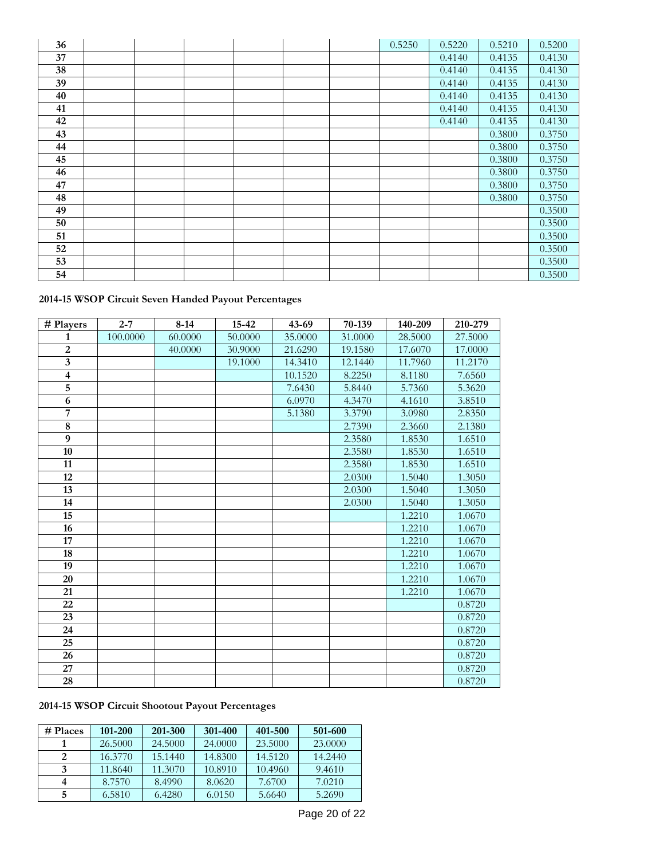| 36 |  |  |  | 0.5250 | 0.5220 | 0.5210 | 0.5200 |
|----|--|--|--|--------|--------|--------|--------|
| 37 |  |  |  |        | 0.4140 | 0.4135 | 0.4130 |
| 38 |  |  |  |        | 0.4140 | 0.4135 | 0.4130 |
| 39 |  |  |  |        | 0.4140 | 0.4135 | 0.4130 |
| 40 |  |  |  |        | 0.4140 | 0.4135 | 0.4130 |
| 41 |  |  |  |        | 0.4140 | 0.4135 | 0.4130 |
| 42 |  |  |  |        | 0.4140 | 0.4135 | 0.4130 |
| 43 |  |  |  |        |        | 0.3800 | 0.3750 |
| 44 |  |  |  |        |        | 0.3800 | 0.3750 |
| 45 |  |  |  |        |        | 0.3800 | 0.3750 |
| 46 |  |  |  |        |        | 0.3800 | 0.3750 |
| 47 |  |  |  |        |        | 0.3800 | 0.3750 |
| 48 |  |  |  |        |        | 0.3800 | 0.3750 |
| 49 |  |  |  |        |        |        | 0.3500 |
| 50 |  |  |  |        |        |        | 0.3500 |
| 51 |  |  |  |        |        |        | 0.3500 |
| 52 |  |  |  |        |        |        | 0.3500 |
| 53 |  |  |  |        |        |        | 0.3500 |
| 54 |  |  |  |        |        |        | 0.3500 |

### **2014-15 WSOP Circuit Seven Handed Payout Percentages**

| # Players       | $2 - 7$  | $8 - 14$ | $15 - 42$ | $43 - 69$ | 70-139  | 140-209 | 210-279 |
|-----------------|----------|----------|-----------|-----------|---------|---------|---------|
| 1               | 100.0000 | 60.0000  | 50.0000   | 35.0000   | 31.0000 | 28.5000 | 27.5000 |
| $\overline{2}$  |          | 40.0000  | 30.9000   | 21.6290   | 19.1580 | 17.6070 | 17.0000 |
| $\mathbf{3}$    |          |          | 19.1000   | 14.3410   | 12.1440 | 11.7960 | 11.2170 |
| $\overline{4}$  |          |          |           | 10.1520   | 8.2250  | 8.1180  | 7.6560  |
| $\overline{5}$  |          |          |           | 7.6430    | 5.8440  | 5.7360  | 5.3620  |
| 6               |          |          |           | 6.0970    | 4.3470  | 4.1610  | 3.8510  |
| $\overline{7}$  |          |          |           | 5.1380    | 3.3790  | 3.0980  | 2.8350  |
| $\bf 8$         |          |          |           |           | 2.7390  | 2.3660  | 2.1380  |
| 9               |          |          |           |           | 2.3580  | 1.8530  | 1.6510  |
| 10              |          |          |           |           | 2.3580  | 1.8530  | 1.6510  |
| 11              |          |          |           |           | 2.3580  | 1.8530  | 1.6510  |
| 12              |          |          |           |           | 2.0300  | 1.5040  | 1.3050  |
| $\overline{13}$ |          |          |           |           | 2.0300  | 1.5040  | 1.3050  |
| 14              |          |          |           |           | 2.0300  | 1.5040  | 1.3050  |
| 15              |          |          |           |           |         | 1.2210  | 1.0670  |
| 16              |          |          |           |           |         | 1.2210  | 1.0670  |
| 17              |          |          |           |           |         | 1.2210  | 1.0670  |
| $\overline{18}$ |          |          |           |           |         | 1.2210  | 1.0670  |
| 19              |          |          |           |           |         | 1.2210  | 1.0670  |
| 20              |          |          |           |           |         | 1.2210  | 1.0670  |
| 21              |          |          |           |           |         | 1.2210  | 1.0670  |
| 22              |          |          |           |           |         |         | 0.8720  |
| 23              |          |          |           |           |         |         | 0.8720  |
| 24              |          |          |           |           |         |         | 0.8720  |
| 25              |          |          |           |           |         |         | 0.8720  |
| 26              |          |          |           |           |         |         | 0.8720  |
| 27              |          |          |           |           |         |         | 0.8720  |
| 28              |          |          |           |           |         |         | 0.8720  |

## **2014-15 WSOP Circuit Shootout Payout Percentages**

| # Places | 101-200 | 201-300 | 301-400 | 401-500 | 501-600 |
|----------|---------|---------|---------|---------|---------|
|          | 26.5000 | 24.5000 | 24,0000 | 23.5000 | 23,0000 |
|          | 16.3770 | 15.1440 | 14.8300 | 14.5120 | 14.2440 |
| 3        | 11.8640 | 11.3070 | 10.8910 | 10.4960 | 9.4610  |
|          | 8.7570  | 8.4990  | 8.0620  | 7.6700  | 7.0210  |
|          | 6.5810  | 6.4280  | 6.0150  | 5.6640  | 5.2690  |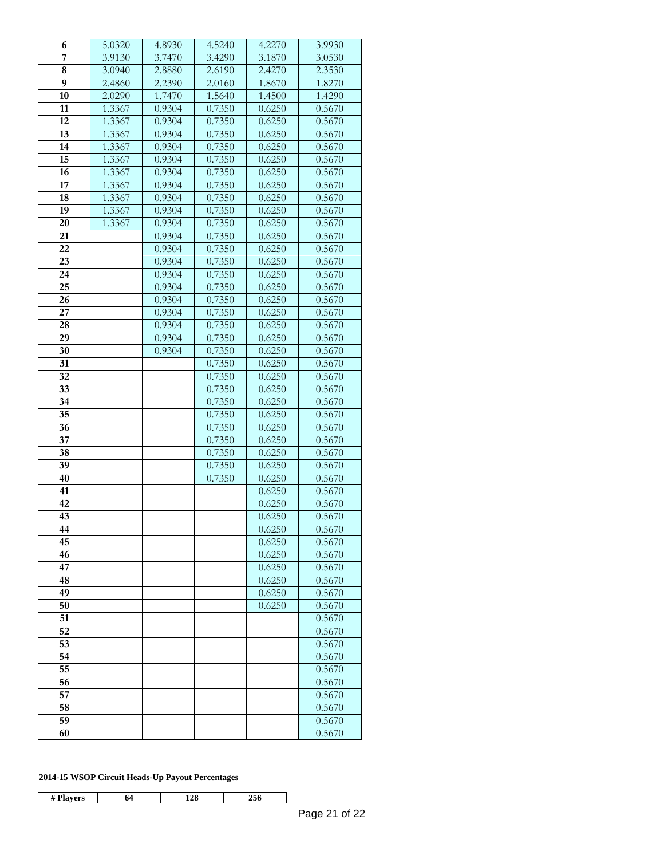| 6                  | 5.0320 | 4.8930           | 4.5240 | 4.2270 | 3.9930 |
|--------------------|--------|------------------|--------|--------|--------|
| 7                  | 3.9130 | 3.7470           | 3.4290 | 3.1870 | 3.0530 |
| $\overline{\bf 8}$ | 3.0940 | 2.8880           | 2.6190 | 2.4270 | 2.3530 |
| 9                  | 2.4860 | 2.2390           | 2.0160 | 1.8670 | 1.8270 |
| 10                 | 2.0290 | 1.7470           | 1.5640 | 1.4500 | 1.4290 |
| 11                 | 1.3367 | 0.9304           | 0.7350 | 0.6250 | 0.5670 |
| 12                 | 1.3367 | 0.9304           | 0.7350 | 0.6250 | 0.5670 |
| 13                 | 1.3367 | 0.9304           | 0.7350 | 0.6250 | 0.5670 |
| 14                 | 1.3367 | 0.9304           | 0.7350 | 0.6250 | 0.5670 |
| 15                 | 1.3367 | 0.9304           | 0.7350 | 0.6250 | 0.5670 |
| 16                 | 1.3367 | 0.9304           | 0.7350 | 0.6250 | 0.5670 |
| 17                 | 1.3367 | 0.9304           | 0.7350 | 0.6250 | 0.5670 |
| 18                 | 1.3367 | 0.9304           | 0.7350 | 0.6250 | 0.5670 |
| 19                 | 1.3367 | 0.9304           | 0.7350 | 0.6250 | 0.5670 |
| 20                 | 1.3367 | 0.9304           | 0.7350 | 0.6250 | 0.5670 |
| 21                 |        | 0.9304           | 0.7350 | 0.6250 | 0.5670 |
| 22                 |        | 0.9304           | 0.7350 | 0.6250 | 0.5670 |
| 23                 |        | 0.9304           | 0.7350 | 0.6250 | 0.5670 |
| 24                 |        | 0.9304           | 0.7350 | 0.6250 | 0.5670 |
| 25                 |        | 0.9304           | 0.7350 | 0.6250 | 0.5670 |
| 26                 |        | 0.9304           | 0.7350 | 0.6250 | 0.5670 |
| 27                 |        | 0.9304           | 0.7350 | 0.6250 | 0.5670 |
| 28                 |        | 0.9304           | 0.7350 | 0.6250 | 0.5670 |
| 29                 |        |                  |        |        | 0.5670 |
|                    |        | 0.9304<br>0.9304 | 0.7350 | 0.6250 |        |
| 30                 |        |                  | 0.7350 | 0.6250 | 0.5670 |
| 31                 |        |                  | 0.7350 | 0.6250 | 0.5670 |
| 32                 |        |                  | 0.7350 | 0.6250 | 0.5670 |
| 33                 |        |                  | 0.7350 | 0.6250 | 0.5670 |
| 34                 |        |                  | 0.7350 | 0.6250 | 0.5670 |
| 35                 |        |                  | 0.7350 | 0.6250 | 0.5670 |
| 36                 |        |                  | 0.7350 | 0.6250 | 0.5670 |
| 37                 |        |                  | 0.7350 | 0.6250 | 0.5670 |
| 38                 |        |                  | 0.7350 | 0.6250 | 0.5670 |
| 39                 |        |                  | 0.7350 | 0.6250 | 0.5670 |
| 40                 |        |                  | 0.7350 | 0.6250 | 0.5670 |
| 41                 |        |                  |        | 0.6250 | 0.5670 |
| 42                 |        |                  |        | 0.6250 | 0.5670 |
| 43                 |        |                  |        | 0.6250 | 0.5670 |
| 44                 |        |                  |        | 0.6250 | 0.5670 |
| 45                 |        |                  |        | 0.6250 | 0.5670 |
| 46                 |        |                  |        | 0.6250 | 0.5670 |
| 47                 |        |                  |        | 0.6250 | 0.5670 |
| 48                 |        |                  |        | 0.6250 | 0.5670 |
| 49                 |        |                  |        | 0.6250 | 0.5670 |
| 50                 |        |                  |        | 0.6250 | 0.5670 |
| 51                 |        |                  |        |        | 0.5670 |
| 52                 |        |                  |        |        | 0.5670 |
| 53                 |        |                  |        |        | 0.5670 |
| 54                 |        |                  |        |        | 0.5670 |
| 55                 |        |                  |        |        | 0.5670 |
| 56                 |        |                  |        |        | 0.5670 |
| 57                 |        |                  |        |        | 0.5670 |
| 58                 |        |                  |        |        | 0.5670 |
| 59                 |        |                  |        |        | 0.5670 |
| 60                 |        |                  |        |        | 0.5670 |
|                    |        |                  |        |        |        |

### **2014-15 WSOP Circuit Heads-Up Payout Percentages**

| -<br>14<br>- |  |  |
|--------------|--|--|
|              |  |  |